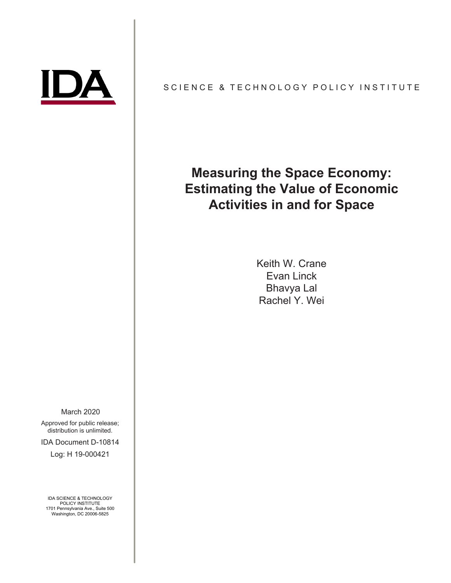

# SCIENCE & TECHNOLOGY POLICY INSTITUTE

# **Measuring the Space Economy: Estimating the Value of Economic Activities in and for Space**

Keith W. Crane Evan Linck Bhavya Lal Rachel Y. Wei

March 2020

Approved for public release; distribution is unlimited.

IDA Document D-10814

Log: H 19-000421

IDA SCIENCE & TECHNOLOGY POLICY INSTITUTE 1701 Pennsylvania Ave., Suite 500 Washington, DC 20006-5825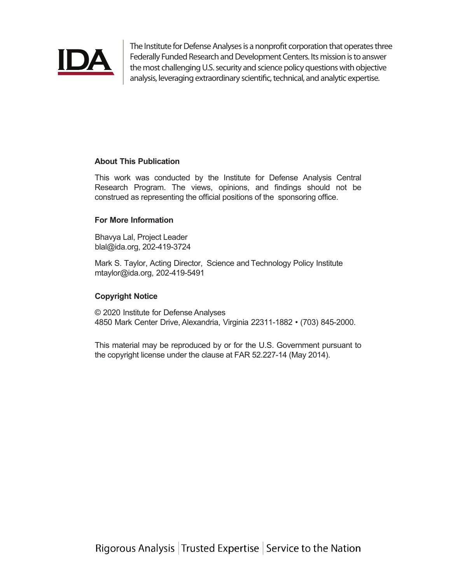

The Institute for Defense Analyses is a nonprofit corporation that operates three Federally Funded Research and Development Centers. Its mission is to answer the most challenging U.S. security and science policy questions with objective analysis, leveraging extraordinary scientific, technical, and analytic expertise.

# **About This Publication**

This work was conducted by the Institute for Defense Analysis Central Research Program. The views, opinions, and findings should not be construed as representing the official positions of the sponsoring office.

# **For More Information**

Bhavya Lal, Project Leader blal@ida.org, 202-419-3724

Mark S. Taylor, Acting Director, Science and Technology Policy Institute mtaylor@ida.org, 202-419-5491

# **Copyright Notice**

© 2020 Institute for Defense Analyses 4850 Mark Center Drive, Alexandria, Virginia 22311-1882 • (703) 845-2000.

This material may be reproduced by or for the U.S. Government pursuant to the copyright license under the clause at FAR 52.227-14 (May 2014).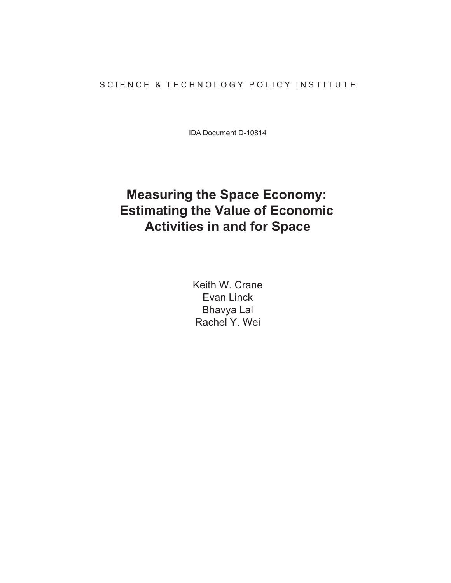# SCIENCE & TECHNOLOGY POLICY INSTITUTE

IDA Document D-10814

# **Measuring the Space Economy: Estimating the Value of Economic Activities in and for Space**

Keith W. Crane Evan Linck Bhavya Lal Rachel Y. Wei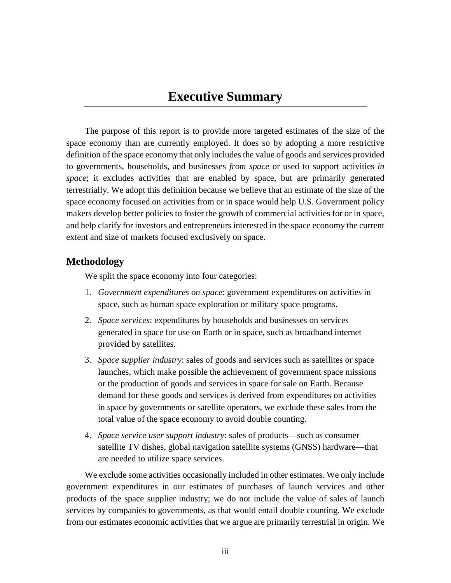# **Executive Summary**

The purpose of this report is to provide more targeted estimates of the size of the space economy than are currently employed. It does so by adopting a more restrictive definition of the space economy that only includes the value of goods and services provided to governments, households, and businesses *from space* or used to support activities *in space*; it excludes activities that are enabled by space, but are primarily generated terrestrially. We adopt this definition because we believe that an estimate of the size of the space economy focused on activities from or in space would help U.S. Government policy makers develop better policies to foster the growth of commercial activities for or in space, and help clarify for investors and entrepreneurs interested in the space economy the current extent and size of markets focused exclusively on space.

# **Methodology**

We split the space economy into four categories:

- 1. *Government expenditures on space*: government expenditures on activities in space, such as human space exploration or military space programs.
- 2. *Space services*: expenditures by households and businesses on services generated in space for use on Earth or in space, such as broadband internet provided by satellites.
- 3. *Space supplier industry*: sales of goods and services such as satellites or space launches, which make possible the achievement of government space missions or the production of goods and services in space for sale on Earth. Because demand for these goods and services is derived from expenditures on activities in space by governments or satellite operators, we exclude these sales from the total value of the space economy to avoid double counting.
- 4. *Space service user support industry*: sales of products—such as consumer satellite TV dishes, global navigation satellite systems (GNSS) hardware—that are needed to utilize space services.

We exclude some activities occasionally included in other estimates. We only include government expenditures in our estimates of purchases of launch services and other products of the space supplier industry; we do not include the value of sales of launch services by companies to governments, as that would entail double counting. We exclude from our estimates economic activities that we argue are primarily terrestrial in origin. We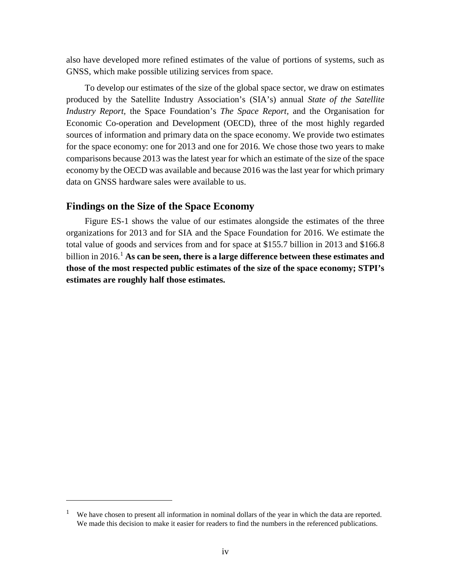also have developed more refined estimates of the value of portions of systems, such as GNSS, which make possible utilizing services from space.

To develop our estimates of the size of the global space sector, we draw on estimates produced by the Satellite Industry Association's (SIA's) annual *State of the Satellite Industry Report,* the Space Foundation's *The Space Report,* and the Organisation for Economic Co-operation and Development (OECD), three of the most highly regarded sources of information and primary data on the space economy. We provide two estimates for the space economy: one for 2013 and one for 2016. We chose those two years to make comparisons because 2013 was the latest year for which an estimate of the size of the space economy by the OECD was available and because 2016 was the last year for which primary data on GNSS hardware sales were available to us.

# **Findings on the Size of the Space Economy**

Figure ES-1 shows the value of our estimates alongside the estimates of the three organizations for 2013 and for SIA and the Space Foundation for 2016. We estimate the total value of goods and services from and for space at \$155.7 billion in 2013 and \$166.8 billion in 20[1](#page-5-0)6.<sup>1</sup> As can be seen, there is a large difference between these estimates and **those of the most respected public estimates of the size of the space economy; STPI's estimates are roughly half those estimates.**

<span id="page-5-0"></span><sup>1</sup> We have chosen to present all information in nominal dollars of the year in which the data are reported. We made this decision to make it easier for readers to find the numbers in the referenced publications.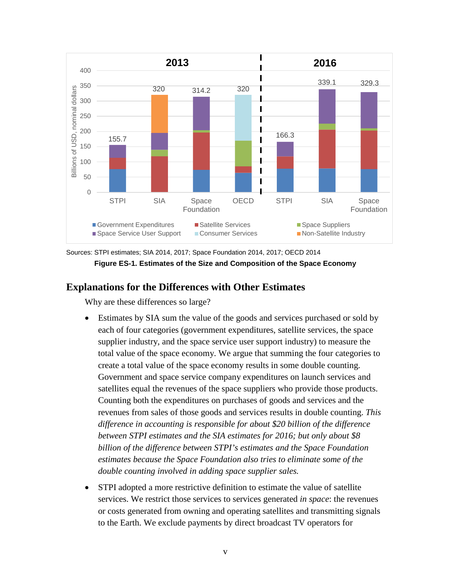

Sources: STPI estimates; SIA 2014, 2017; Space Foundation 2014, 2017; OECD 2014 **Figure ES-1. Estimates of the Size and Composition of the Space Economy**

# **Explanations for the Differences with Other Estimates**

Why are these differences so large?

- Estimates by SIA sum the value of the goods and services purchased or sold by each of four categories (government expenditures, satellite services, the space supplier industry, and the space service user support industry) to measure the total value of the space economy. We argue that summing the four categories to create a total value of the space economy results in some double counting. Government and space service company expenditures on launch services and satellites equal the revenues of the space suppliers who provide those products. Counting both the expenditures on purchases of goods and services and the revenues from sales of those goods and services results in double counting. *This difference in accounting is responsible for about \$20 billion of the difference between STPI estimates and the SIA estimates for 2016; but only about \$8 billion of the difference between STPI's estimates and the Space Foundation estimates because the Space Foundation also tries to eliminate some of the double counting involved in adding space supplier sales.*
- STPI adopted a more restrictive definition to estimate the value of satellite services. We restrict those services to services generated *in space*: the revenues or costs generated from owning and operating satellites and transmitting signals to the Earth. We exclude payments by direct broadcast TV operators for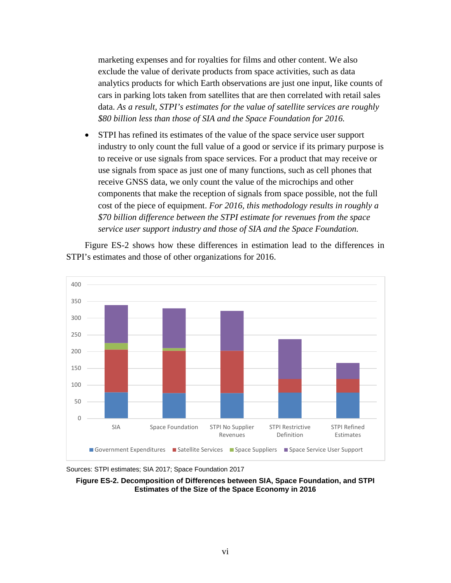marketing expenses and for royalties for films and other content. We also exclude the value of derivate products from space activities, such as data analytics products for which Earth observations are just one input, like counts of cars in parking lots taken from satellites that are then correlated with retail sales data. *As a result, STPI's estimates for the value of satellite services are roughly \$80 billion less than those of SIA and the Space Foundation for 2016.*

• STPI has refined its estimates of the value of the space service user support industry to only count the full value of a good or service if its primary purpose is to receive or use signals from space services. For a product that may receive or use signals from space as just one of many functions, such as cell phones that receive GNSS data, we only count the value of the microchips and other components that make the reception of signals from space possible, not the full cost of the piece of equipment. *For 2016, this methodology results in roughly a \$70 billion difference between the STPI estimate for revenues from the space service user support industry and those of SIA and the Space Foundation.*

Figure ES-2 shows how these differences in estimation lead to the differences in STPI's estimates and those of other organizations for 2016.



Sources: STPI estimates; SIA 2017; Space Foundation 2017

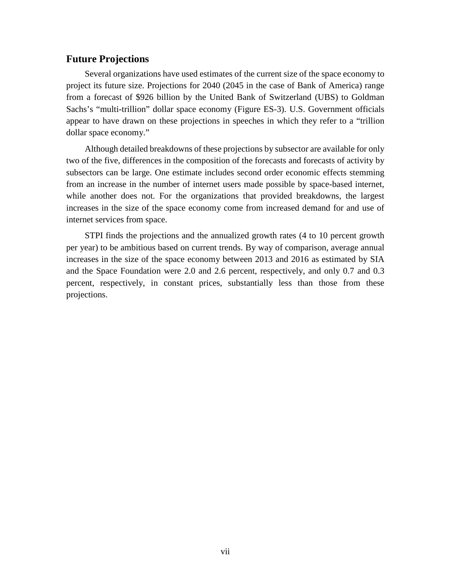# **Future Projections**

Several organizations have used estimates of the current size of the space economy to project its future size. Projections for 2040 (2045 in the case of Bank of America) range from a forecast of \$926 billion by the United Bank of Switzerland (UBS) to Goldman Sachs's "multi-trillion" dollar space economy (Figure ES-3). U.S. Government officials appear to have drawn on these projections in speeches in which they refer to a "trillion dollar space economy."

Although detailed breakdowns of these projections by subsector are available for only two of the five, differences in the composition of the forecasts and forecasts of activity by subsectors can be large. One estimate includes second order economic effects stemming from an increase in the number of internet users made possible by space-based internet, while another does not. For the organizations that provided breakdowns, the largest increases in the size of the space economy come from increased demand for and use of internet services from space.

STPI finds the projections and the annualized growth rates (4 to 10 percent growth per year) to be ambitious based on current trends. By way of comparison, average annual increases in the size of the space economy between 2013 and 2016 as estimated by SIA and the Space Foundation were 2.0 and 2.6 percent, respectively, and only 0.7 and 0.3 percent, respectively, in constant prices, substantially less than those from these projections.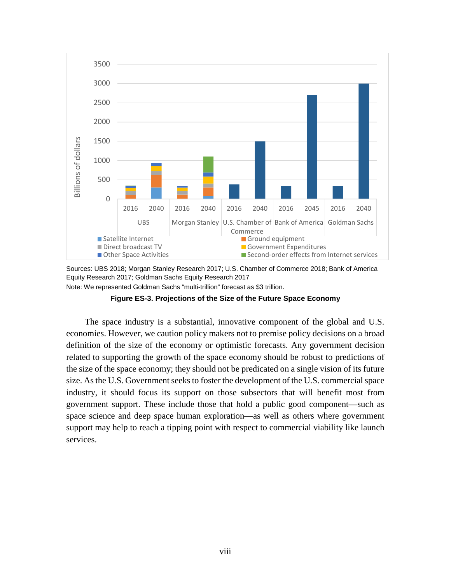

Sources: UBS 2018; Morgan Stanley Research 2017; U.S. Chamber of Commerce 2018; Bank of America Equity Research 2017; Goldman Sachs Equity Research 2017

Note: We represented Goldman Sachs "multi-trillion" forecast as \$3 trillion.

**Figure ES-3. Projections of the Size of the Future Space Economy**

The space industry is a substantial, innovative component of the global and U.S. economies. However, we caution policy makers not to premise policy decisions on a broad definition of the size of the economy or optimistic forecasts. Any government decision related to supporting the growth of the space economy should be robust to predictions of the size of the space economy; they should not be predicated on a single vision of its future size. As the U.S. Government seeks to foster the development of the U.S. commercial space industry, it should focus its support on those subsectors that will benefit most from government support. These include those that hold a public good component—such as space science and deep space human exploration—as well as others where government support may help to reach a tipping point with respect to commercial viability like launch services.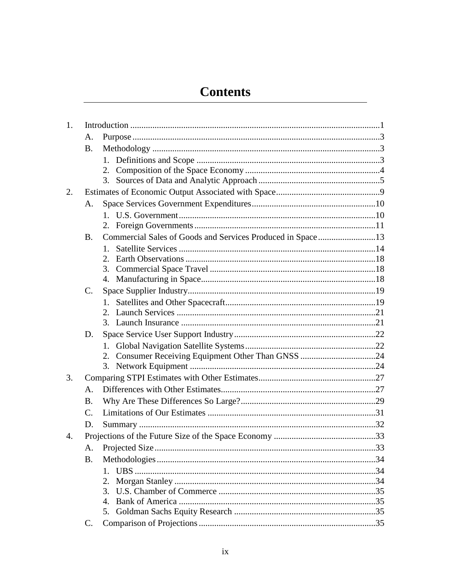# **Contents**

| 1. |                 |                                                            |  |
|----|-----------------|------------------------------------------------------------|--|
|    | A.              |                                                            |  |
|    | <b>B.</b>       |                                                            |  |
|    |                 |                                                            |  |
|    |                 | 2.                                                         |  |
|    |                 | 3.                                                         |  |
| 2. |                 |                                                            |  |
|    | A.              |                                                            |  |
|    |                 |                                                            |  |
|    |                 |                                                            |  |
|    | <b>B.</b>       | Commercial Sales of Goods and Services Produced in Space13 |  |
|    |                 | $1_{-}$                                                    |  |
|    |                 | 2.                                                         |  |
|    |                 | 3.                                                         |  |
|    |                 |                                                            |  |
|    | $\mathcal{C}$ . |                                                            |  |
|    |                 |                                                            |  |
|    |                 |                                                            |  |
|    |                 |                                                            |  |
|    | D.              |                                                            |  |
|    |                 |                                                            |  |
|    |                 | 2.                                                         |  |
|    |                 |                                                            |  |
| 3. |                 |                                                            |  |
|    | A.              |                                                            |  |
|    | <b>B.</b>       |                                                            |  |
|    | $\mathcal{C}$ . |                                                            |  |
|    | D.              |                                                            |  |
| 4. |                 |                                                            |  |
|    | А.              |                                                            |  |
|    | <b>B.</b>       |                                                            |  |
|    |                 | $1_{-}$                                                    |  |
|    |                 | 2.                                                         |  |
|    |                 | 3.                                                         |  |
|    |                 | $\overline{4}$ .                                           |  |
|    |                 | 5.                                                         |  |
|    | C.              |                                                            |  |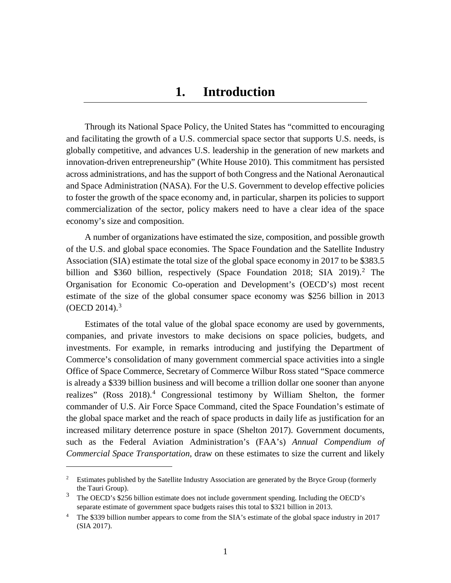# **1. Introduction**

<span id="page-12-0"></span>Through its National Space Policy, the United States has "committed to encouraging and facilitating the growth of a U.S. commercial space sector that supports U.S. needs, is globally competitive, and advances U.S. leadership in the generation of new markets and innovation-driven entrepreneurship" (White House 2010). This commitment has persisted across administrations, and has the support of both Congress and the National Aeronautical and Space Administration (NASA). For the U.S. Government to develop effective policies to foster the growth of the space economy and, in particular, sharpen its policies to support commercialization of the sector, policy makers need to have a clear idea of the space economy's size and composition.

A number of organizations have estimated the size, composition, and possible growth of the U.S. and global space economies. The Space Foundation and the Satellite Industry Association (SIA) estimate the total size of the global space economy in 2017 to be \$383.5 billion and \$360 billion, respectively (Space Foundation [2](#page-12-1)018; SIA 2019).<sup>2</sup> The Organisation for Economic Co-operation and Development's (OECD's) most recent estimate of the size of the global consumer space economy was \$256 billion in 2013  $(OECD 2014).$ <sup>[3](#page-12-2)</sup>

Estimates of the total value of the global space economy are used by governments, companies, and private investors to make decisions on space policies, budgets, and investments. For example, in remarks introducing and justifying the Department of Commerce's consolidation of many government commercial space activities into a single Office of Space Commerce, Secretary of Commerce Wilbur Ross stated "Space commerce is already a \$339 billion business and will become a trillion dollar one sooner than anyone realizes" (Ross  $2018$ ).<sup>[4](#page-12-3)</sup> Congressional testimony by William Shelton, the former commander of U.S. Air Force Space Command, cited the Space Foundation's estimate of the global space market and the reach of space products in daily life as justification for an increased military deterrence posture in space (Shelton 2017). Government documents, such as the Federal Aviation Administration's (FAA's) *Annual Compendium of Commercial Space Transportation,* draw on these estimates to size the current and likely

<span id="page-12-1"></span><sup>&</sup>lt;sup>2</sup> Estimates published by the Satellite Industry Association are generated by the Bryce Group (formerly the Tauri Group).

<span id="page-12-2"></span><sup>3</sup> The OECD's \$256 billion estimate does not include government spending. Including the OECD's separate estimate of government space budgets raises this total to \$321 billion in 2013.

<span id="page-12-3"></span><sup>&</sup>lt;sup>4</sup> The \$339 billion number appears to come from the SIA's estimate of the global space industry in 2017 (SIA 2017).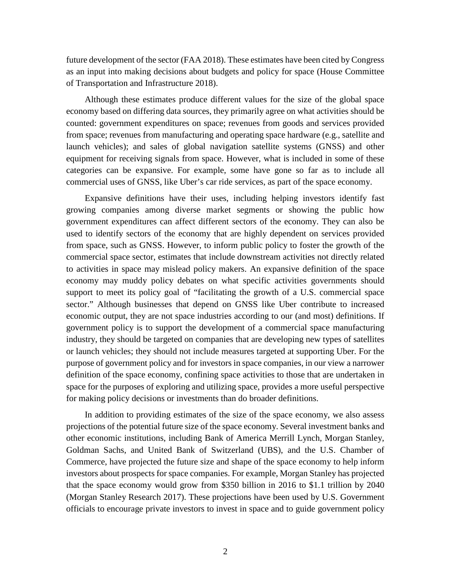future development of the sector (FAA 2018). These estimates have been cited by Congress as an input into making decisions about budgets and policy for space (House Committee of Transportation and Infrastructure 2018).

Although these estimates produce different values for the size of the global space economy based on differing data sources, they primarily agree on what activities should be counted: government expenditures on space; revenues from goods and services provided from space; revenues from manufacturing and operating space hardware (e.g., satellite and launch vehicles); and sales of global navigation satellite systems (GNSS) and other equipment for receiving signals from space. However, what is included in some of these categories can be expansive. For example, some have gone so far as to include all commercial uses of GNSS, like Uber's car ride services, as part of the space economy.

Expansive definitions have their uses, including helping investors identify fast growing companies among diverse market segments or showing the public how government expenditures can affect different sectors of the economy. They can also be used to identify sectors of the economy that are highly dependent on services provided from space, such as GNSS. However, to inform public policy to foster the growth of the commercial space sector, estimates that include downstream activities not directly related to activities in space may mislead policy makers. An expansive definition of the space economy may muddy policy debates on what specific activities governments should support to meet its policy goal of "facilitating the growth of a U.S. commercial space sector." Although businesses that depend on GNSS like Uber contribute to increased economic output, they are not space industries according to our (and most) definitions. If government policy is to support the development of a commercial space manufacturing industry, they should be targeted on companies that are developing new types of satellites or launch vehicles; they should not include measures targeted at supporting Uber. For the purpose of government policy and for investors in space companies, in our view a narrower definition of the space economy, confining space activities to those that are undertaken in space for the purposes of exploring and utilizing space, provides a more useful perspective for making policy decisions or investments than do broader definitions.

In addition to providing estimates of the size of the space economy, we also assess projections of the potential future size of the space economy. Several investment banks and other economic institutions, including Bank of America Merrill Lynch, Morgan Stanley, Goldman Sachs, and United Bank of Switzerland (UBS), and the U.S. Chamber of Commerce, have projected the future size and shape of the space economy to help inform investors about prospects for space companies. For example, Morgan Stanley has projected that the space economy would grow from \$350 billion in 2016 to \$1.1 trillion by 2040 (Morgan Stanley Research 2017). These projections have been used by U.S. Government officials to encourage private investors to invest in space and to guide government policy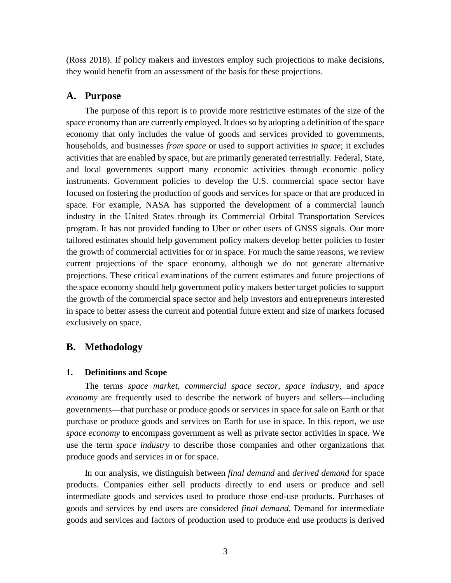(Ross 2018). If policy makers and investors employ such projections to make decisions, they would benefit from an assessment of the basis for these projections.

#### <span id="page-14-0"></span>**A. Purpose**

The purpose of this report is to provide more restrictive estimates of the size of the space economy than are currently employed. It does so by adopting a definition of the space economy that only includes the value of goods and services provided to governments, households, and businesses *from space* or used to support activities *in space*; it excludes activities that are enabled by space, but are primarily generated terrestrially. Federal, State, and local governments support many economic activities through economic policy instruments. Government policies to develop the U.S. commercial space sector have focused on fostering the production of goods and services for space or that are produced in space. For example, NASA has supported the development of a commercial launch industry in the United States through its Commercial Orbital Transportation Services program. It has not provided funding to Uber or other users of GNSS signals. Our more tailored estimates should help government policy makers develop better policies to foster the growth of commercial activities for or in space. For much the same reasons, we review current projections of the space economy, although we do not generate alternative projections. These critical examinations of the current estimates and future projections of the space economy should help government policy makers better target policies to support the growth of the commercial space sector and help investors and entrepreneurs interested in space to better assess the current and potential future extent and size of markets focused exclusively on space.

# <span id="page-14-2"></span><span id="page-14-1"></span>**B. Methodology**

#### **1. Definitions and Scope**

The terms *space market, commercial space sector, space industry,* and *space economy* are frequently used to describe the network of buyers and sellers—including governments—that purchase or produce goods or services in space for sale on Earth or that purchase or produce goods and services on Earth for use in space. In this report, we use *space economy* to encompass government as well as private sector activities in space. We use the term *space industry* to describe those companies and other organizations that produce goods and services in or for space.

In our analysis, we distinguish between *final demand* and *derived demand* for space products. Companies either sell products directly to end users or produce and sell intermediate goods and services used to produce those end-use products. Purchases of goods and services by end users are considered *final demand*. Demand for intermediate goods and services and factors of production used to produce end use products is derived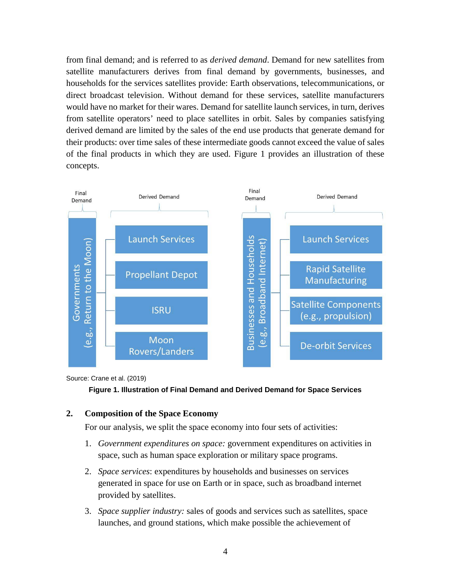from final demand; and is referred to as *derived demand*. Demand for new satellites from satellite manufacturers derives from final demand by governments, businesses, and households for the services satellites provide: Earth observations, telecommunications, or direct broadcast television. Without demand for these services, satellite manufacturers would have no market for their wares. Demand for satellite launch services, in turn, derives from satellite operators' need to place satellites in orbit. Sales by companies satisfying derived demand are limited by the sales of the end use products that generate demand for their products: over time sales of these intermediate goods cannot exceed the value of sales of the final products in which they are used. Figure 1 provides an illustration of these concepts.



Source: Crane et al. (2019)



# <span id="page-15-0"></span>**2. Composition of the Space Economy**

For our analysis, we split the space economy into four sets of activities:

- 1. *Government expenditures on space:* government expenditures on activities in space, such as human space exploration or military space programs.
- 2. *Space services*: expenditures by households and businesses on services generated in space for use on Earth or in space, such as broadband internet provided by satellites.
- 3. *Space supplier industry:* sales of goods and services such as satellites, space launches, and ground stations, which make possible the achievement of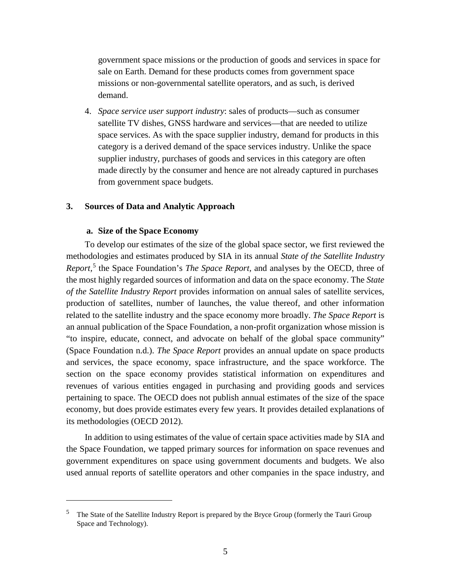government space missions or the production of goods and services in space for sale on Earth. Demand for these products comes from government space missions or non-governmental satellite operators, and as such, is derived demand.

4. *Space service user support industry*: sales of products—such as consumer satellite TV dishes, GNSS hardware and services—that are needed to utilize space services. As with the space supplier industry, demand for products in this category is a derived demand of the space services industry. Unlike the space supplier industry, purchases of goods and services in this category are often made directly by the consumer and hence are not already captured in purchases from government space budgets.

#### <span id="page-16-0"></span>**3. Sources of Data and Analytic Approach**

#### **a. Size of the Space Economy**

 $\overline{a}$ 

To develop our estimates of the size of the global space sector, we first reviewed the methodologies and estimates produced by SIA in its annual *State of the Satellite Industry Report,* [5](#page-16-1) the Space Foundation's *The Space Report,* and analyses by the OECD, three of the most highly regarded sources of information and data on the space economy. The *State of the Satellite Industry Report* provides information on annual sales of satellite services, production of satellites, number of launches, the value thereof, and other information related to the satellite industry and the space economy more broadly. *The Space Report* is an annual publication of the Space Foundation, a non-profit organization whose mission is "to inspire, educate, connect, and advocate on behalf of the global space community" (Space Foundation n.d.). *The Space Report* provides an annual update on space products and services, the space economy, space infrastructure, and the space workforce. The section on the space economy provides statistical information on expenditures and revenues of various entities engaged in purchasing and providing goods and services pertaining to space. The OECD does not publish annual estimates of the size of the space economy, but does provide estimates every few years. It provides detailed explanations of its methodologies (OECD 2012).

In addition to using estimates of the value of certain space activities made by SIA and the Space Foundation, we tapped primary sources for information on space revenues and government expenditures on space using government documents and budgets. We also used annual reports of satellite operators and other companies in the space industry, and

<span id="page-16-1"></span><sup>5</sup> The State of the Satellite Industry Report is prepared by the Bryce Group (formerly the Tauri Group Space and Technology).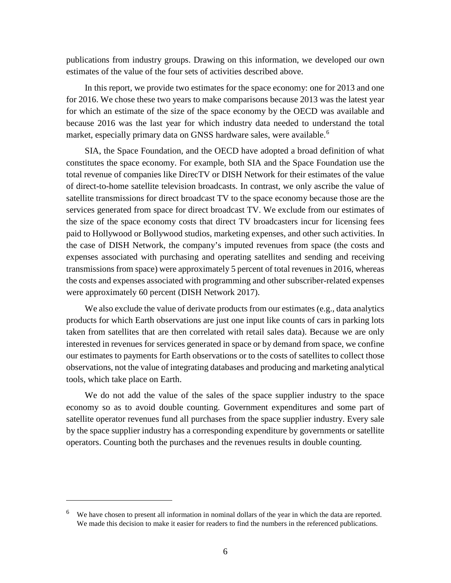publications from industry groups. Drawing on this information, we developed our own estimates of the value of the four sets of activities described above.

In this report, we provide two estimates for the space economy: one for 2013 and one for 2016. We chose these two years to make comparisons because 2013 was the latest year for which an estimate of the size of the space economy by the OECD was available and because 2016 was the last year for which industry data needed to understand the total market, especially primary data on GNSS hardware sales, were available.<sup>[6](#page-17-0)</sup>

SIA, the Space Foundation, and the OECD have adopted a broad definition of what constitutes the space economy. For example, both SIA and the Space Foundation use the total revenue of companies like DirecTV or DISH Network for their estimates of the value of direct-to-home satellite television broadcasts. In contrast, we only ascribe the value of satellite transmissions for direct broadcast TV to the space economy because those are the services generated from space for direct broadcast TV. We exclude from our estimates of the size of the space economy costs that direct TV broadcasters incur for licensing fees paid to Hollywood or Bollywood studios, marketing expenses, and other such activities. In the case of DISH Network, the company's imputed revenues from space (the costs and expenses associated with purchasing and operating satellites and sending and receiving transmissions from space) were approximately 5 percent of total revenues in 2016, whereas the costs and expenses associated with programming and other subscriber-related expenses were approximately 60 percent (DISH Network 2017).

We also exclude the value of derivate products from our estimates (e.g., data analytics products for which Earth observations are just one input like counts of cars in parking lots taken from satellites that are then correlated with retail sales data). Because we are only interested in revenues for services generated in space or by demand from space, we confine our estimates to payments for Earth observations or to the costs of satellites to collect those observations, not the value of integrating databases and producing and marketing analytical tools, which take place on Earth.

We do not add the value of the sales of the space supplier industry to the space economy so as to avoid double counting. Government expenditures and some part of satellite operator revenues fund all purchases from the space supplier industry. Every sale by the space supplier industry has a corresponding expenditure by governments or satellite operators. Counting both the purchases and the revenues results in double counting.

 $\overline{a}$ 

<span id="page-17-0"></span>We have chosen to present all information in nominal dollars of the year in which the data are reported. We made this decision to make it easier for readers to find the numbers in the referenced publications.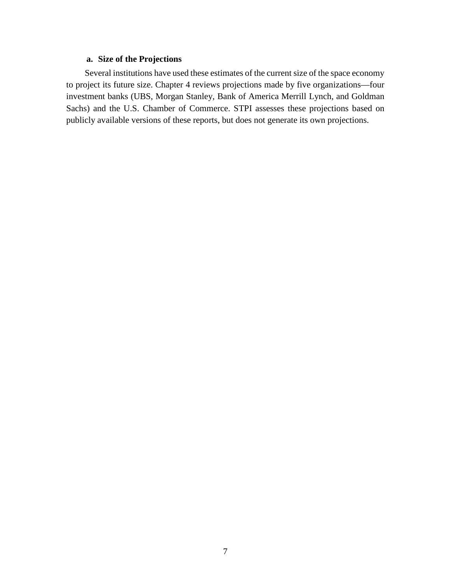# **a. Size of the Projections**

Several institutions have used these estimates of the current size of the space economy to project its future size. Chapter 4 reviews projections made by five organizations—four investment banks (UBS, Morgan Stanley, Bank of America Merrill Lynch, and Goldman Sachs) and the U.S. Chamber of Commerce. STPI assesses these projections based on publicly available versions of these reports, but does not generate its own projections.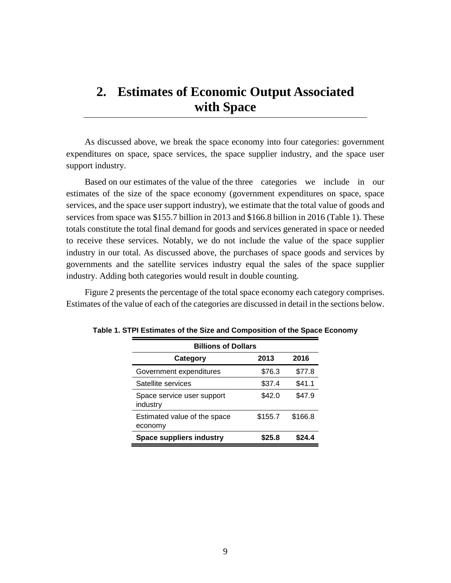# <span id="page-20-0"></span>**2. Estimates of Economic Output Associated with Space**

As discussed above, we break the space economy into four categories: government expenditures on space, space services, the space supplier industry, and the space user support industry.

Based on our estimates of the value of the three categories we include in our estimates of the size of the space economy (government expenditures on space, space services, and the space user support industry), we estimate that the total value of goods and services from space was \$155.7 billion in 2013 and \$166.8 billion in 2016 (Table 1). These totals constitute the total final demand for goods and services generated in space or needed to receive these services. Notably, we do not include the value of the space supplier industry in our total. As discussed above, the purchases of space goods and services by governments and the satellite services industry equal the sales of the space supplier industry. Adding both categories would result in double counting.

Figure 2 presents the percentage of the total space economy each category comprises. Estimates of the value of each of the categories are discussed in detail in the sections below.

| <b>Billions of Dollars</b>              |         |         |  |  |  |
|-----------------------------------------|---------|---------|--|--|--|
| 2013<br>2016<br>Category                |         |         |  |  |  |
| Government expenditures                 | \$76.3  | \$77.8  |  |  |  |
| Satellite services                      | \$37.4  | \$41.1  |  |  |  |
| Space service user support<br>industry  | \$42.0  | \$47.9  |  |  |  |
| Estimated value of the space<br>economy | \$155.7 | \$166.8 |  |  |  |
| <b>Space suppliers industry</b>         | \$25.8  | \$24.4  |  |  |  |

**Table 1. STPI Estimates of the Size and Composition of the Space Economy**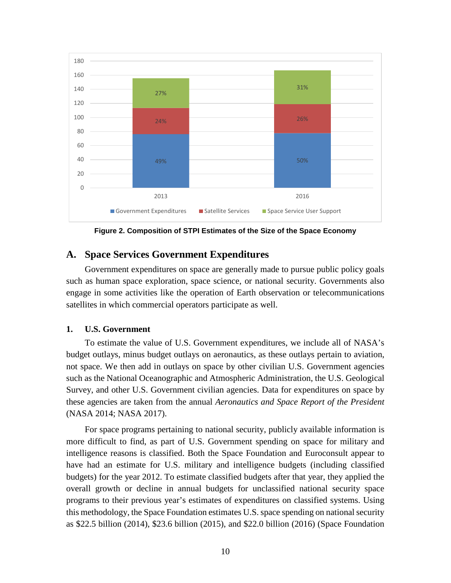

**Figure 2. Composition of STPI Estimates of the Size of the Space Economy**

# <span id="page-21-0"></span>**A. Space Services Government Expenditures**

Government expenditures on space are generally made to pursue public policy goals such as human space exploration, space science, or national security. Governments also engage in some activities like the operation of Earth observation or telecommunications satellites in which commercial operators participate as well.

# <span id="page-21-1"></span>**1. U.S. Government**

To estimate the value of U.S. Government expenditures, we include all of NASA's budget outlays, minus budget outlays on aeronautics, as these outlays pertain to aviation, not space. We then add in outlays on space by other civilian U.S. Government agencies such as the National Oceanographic and Atmospheric Administration, the U.S. Geological Survey, and other U.S. Government civilian agencies. Data for expenditures on space by these agencies are taken from the annual *Aeronautics and Space Report of the President* (NASA 2014; NASA 2017).

For space programs pertaining to national security, publicly available information is more difficult to find, as part of U.S. Government spending on space for military and intelligence reasons is classified. Both the Space Foundation and Euroconsult appear to have had an estimate for U.S. military and intelligence budgets (including classified budgets) for the year 2012. To estimate classified budgets after that year, they applied the overall growth or decline in annual budgets for unclassified national security space programs to their previous year's estimates of expenditures on classified systems. Using this methodology, the Space Foundation estimates U.S. space spending on national security as \$22.5 billion (2014), \$23.6 billion (2015), and \$22.0 billion (2016) (Space Foundation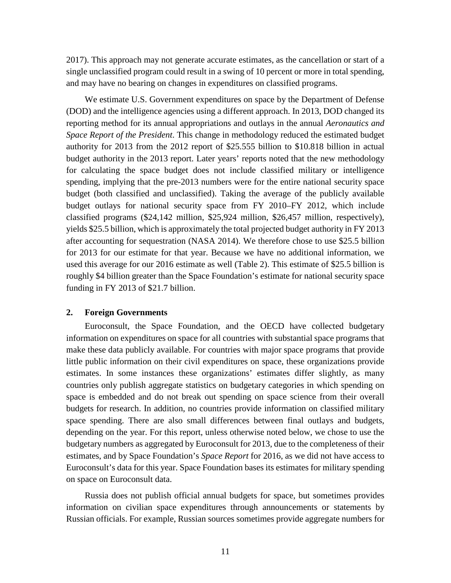2017). This approach may not generate accurate estimates, as the cancellation or start of a single unclassified program could result in a swing of 10 percent or more in total spending, and may have no bearing on changes in expenditures on classified programs.

We estimate U.S. Government expenditures on space by the Department of Defense (DOD) and the intelligence agencies using a different approach. In 2013, DOD changed its reporting method for its annual appropriations and outlays in the annual *Aeronautics and Space Report of the President*. This change in methodology reduced the estimated budget authority for 2013 from the 2012 report of \$25.555 billion to \$10.818 billion in actual budget authority in the 2013 report. Later years' reports noted that the new methodology for calculating the space budget does not include classified military or intelligence spending, implying that the pre-2013 numbers were for the entire national security space budget (both classified and unclassified). Taking the average of the publicly available budget outlays for national security space from FY 2010–FY 2012, which include classified programs (\$24,142 million, \$25,924 million, \$26,457 million, respectively), yields \$25.5 billion, which is approximately the total projected budget authority in FY 2013 after accounting for sequestration (NASA 2014). We therefore chose to use \$25.5 billion for 2013 for our estimate for that year. Because we have no additional information, we used this average for our 2016 estimate as well (Table 2). This estimate of \$25.5 billion is roughly \$4 billion greater than the Space Foundation's estimate for national security space funding in FY 2013 of \$21.7 billion.

#### <span id="page-22-0"></span>**2. Foreign Governments**

Euroconsult, the Space Foundation, and the OECD have collected budgetary information on expenditures on space for all countries with substantial space programs that make these data publicly available. For countries with major space programs that provide little public information on their civil expenditures on space, these organizations provide estimates. In some instances these organizations' estimates differ slightly, as many countries only publish aggregate statistics on budgetary categories in which spending on space is embedded and do not break out spending on space science from their overall budgets for research. In addition, no countries provide information on classified military space spending. There are also small differences between final outlays and budgets, depending on the year. For this report, unless otherwise noted below, we chose to use the budgetary numbers as aggregated by Euroconsult for 2013, due to the completeness of their estimates, and by Space Foundation's *Space Report* for 2016, as we did not have access to Euroconsult's data for this year. Space Foundation bases its estimates for military spending on space on Euroconsult data.

Russia does not publish official annual budgets for space, but sometimes provides information on civilian space expenditures through announcements or statements by Russian officials. For example, Russian sources sometimes provide aggregate numbers for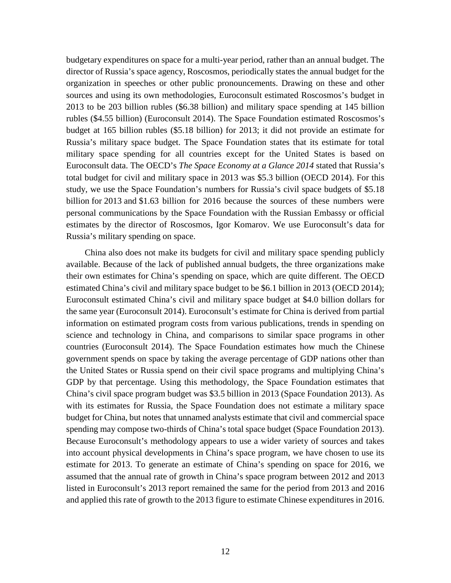budgetary expenditures on space for a multi-year period, rather than an annual budget. The director of Russia's space agency, Roscosmos, periodically states the annual budget for the organization in speeches or other public pronouncements. Drawing on these and other sources and using its own methodologies, Euroconsult estimated Roscosmos's budget in 2013 to be 203 billion rubles (\$6.38 billion) and military space spending at 145 billion rubles (\$4.55 billion) (Euroconsult 2014). The Space Foundation estimated Roscosmos's budget at 165 billion rubles (\$5.18 billion) for 2013; it did not provide an estimate for Russia's military space budget. The Space Foundation states that its estimate for total military space spending for all countries except for the United States is based on Euroconsult data. The OECD's *The Space Economy at a Glance 2014* stated that Russia's total budget for civil and military space in 2013 was \$5.3 billion (OECD 2014). For this study, we use the Space Foundation's numbers for Russia's civil space budgets of \$5.18 billion for 2013 and \$1.63 billion for 2016 because the sources of these numbers were personal communications by the Space Foundation with the Russian Embassy or official estimates by the director of Roscosmos, Igor Komarov. We use Euroconsult's data for Russia's military spending on space.

China also does not make its budgets for civil and military space spending publicly available. Because of the lack of published annual budgets, the three organizations make their own estimates for China's spending on space, which are quite different. The OECD estimated China's civil and military space budget to be \$6.1 billion in 2013 (OECD 2014); Euroconsult estimated China's civil and military space budget at \$4.0 billion dollars for the same year (Euroconsult 2014). Euroconsult's estimate for China is derived from partial information on estimated program costs from various publications, trends in spending on science and technology in China, and comparisons to similar space programs in other countries (Euroconsult 2014). The Space Foundation estimates how much the Chinese government spends on space by taking the average percentage of GDP nations other than the United States or Russia spend on their civil space programs and multiplying China's GDP by that percentage. Using this methodology, the Space Foundation estimates that China's civil space program budget was \$3.5 billion in 2013 (Space Foundation 2013). As with its estimates for Russia, the Space Foundation does not estimate a military space budget for China, but notes that unnamed analysts estimate that civil and commercial space spending may compose two-thirds of China's total space budget (Space Foundation 2013). Because Euroconsult's methodology appears to use a wider variety of sources and takes into account physical developments in China's space program, we have chosen to use its estimate for 2013. To generate an estimate of China's spending on space for 2016, we assumed that the annual rate of growth in China's space program between 2012 and 2013 listed in Euroconsult's 2013 report remained the same for the period from 2013 and 2016 and applied this rate of growth to the 2013 figure to estimate Chinese expenditures in 2016.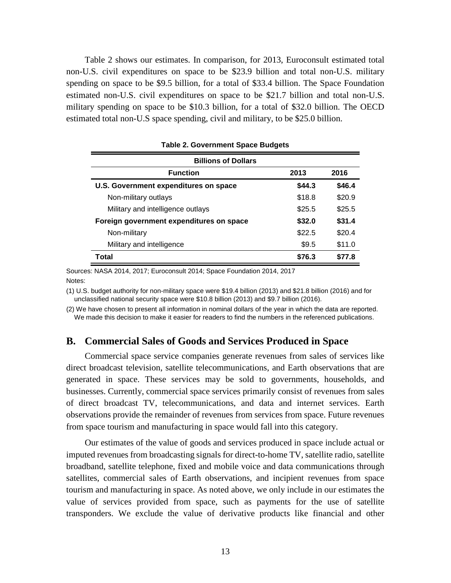Table 2 shows our estimates. In comparison, for 2013, Euroconsult estimated total non-U.S. civil expenditures on space to be \$23.9 billion and total non-U.S. military spending on space to be \$9.5 billion, for a total of \$33.4 billion. The Space Foundation estimated non-U.S. civil expenditures on space to be \$21.7 billion and total non-U.S. military spending on space to be \$10.3 billion, for a total of \$32.0 billion. The OECD estimated total non-U.S space spending, civil and military, to be \$25.0 billion.

| <b>Billions of Dollars</b>               |        |        |
|------------------------------------------|--------|--------|
| <b>Function</b>                          | 2013   | 2016   |
| U.S. Government expenditures on space    | \$44.3 | \$46.4 |
| Non-military outlays                     | \$18.8 | \$20.9 |
| Military and intelligence outlays        | \$25.5 | \$25.5 |
| Foreign government expenditures on space | \$32.0 | \$31.4 |
| Non-military                             | \$22.5 | \$20.4 |
| Military and intelligence                | \$9.5  | \$11.0 |
| Total                                    | \$76.3 | \$77.8 |

**Table 2. Government Space Budgets**

Sources: NASA 2014, 2017; Euroconsult 2014; Space Foundation 2014, 2017 Notes:

(1) U.S. budget authority for non-military space were \$19.4 billion (2013) and \$21.8 billion (2016) and for unclassified national security space were \$10.8 billion (2013) and \$9.7 billion (2016).

(2) We have chosen to present all information in nominal dollars of the year in which the data are reported. We made this decision to make it easier for readers to find the numbers in the referenced publications.

# <span id="page-24-0"></span>**B. Commercial Sales of Goods and Services Produced in Space**

Commercial space service companies generate revenues from sales of services like direct broadcast television, satellite telecommunications, and Earth observations that are generated in space. These services may be sold to governments, households, and businesses. Currently, commercial space services primarily consist of revenues from sales of direct broadcast TV, telecommunications, and data and internet services. Earth observations provide the remainder of revenues from services from space. Future revenues from space tourism and manufacturing in space would fall into this category.

Our estimates of the value of goods and services produced in space include actual or imputed revenues from broadcasting signals for direct-to-home TV, satellite radio, satellite broadband, satellite telephone, fixed and mobile voice and data communications through satellites, commercial sales of Earth observations, and incipient revenues from space tourism and manufacturing in space. As noted above, we only include in our estimates the value of services provided from space, such as payments for the use of satellite transponders. We exclude the value of derivative products like financial and other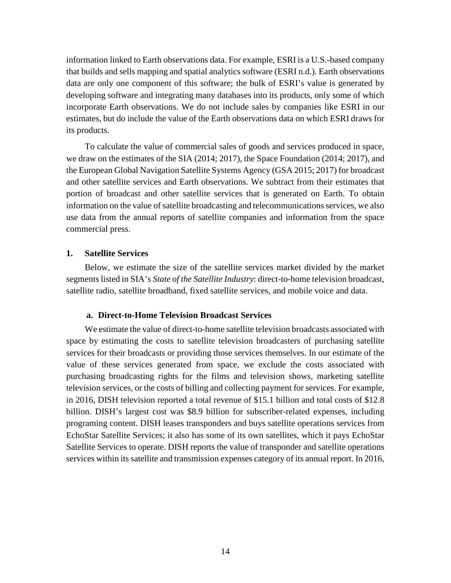information linked to Earth observations data. For example, ESRI is a U.S.-based company that builds and sells mapping and spatial analytics software (ESRI n.d.). Earth observations data are only one component of this software; the bulk of ESRI's value is generated by developing software and integrating many databases into its products, only some of which incorporate Earth observations. We do not include sales by companies like ESRI in our estimates, but do include the value of the Earth observations data on which ESRI draws for its products.

To calculate the value of commercial sales of goods and services produced in space, we draw on the estimates of the SIA (2014; 2017), the Space Foundation (2014; 2017), and the European Global Navigation Satellite Systems Agency (GSA 2015; 2017) for broadcast and other satellite services and Earth observations. We subtract from their estimates that portion of broadcast and other satellite services that is generated on Earth. To obtain information on the value of satellite broadcasting and telecommunications services, we also use data from the annual reports of satellite companies and information from the space commercial press.

#### <span id="page-25-0"></span>**1. Satellite Services**

Below, we estimate the size of the satellite services market divided by the market segments listed in SIA's *State of the Satellite Industry*: direct-to-home television broadcast, satellite radio, satellite broadband, fixed satellite services, and mobile voice and data.

#### **a. Direct-to-Home Television Broadcast Services**

We estimate the value of direct-to-home satellite television broadcasts associated with space by estimating the costs to satellite television broadcasters of purchasing satellite services for their broadcasts or providing those services themselves. In our estimate of the value of these services generated from space, we exclude the costs associated with purchasing broadcasting rights for the films and television shows, marketing satellite television services, or the costs of billing and collecting payment for services. For example, in 2016, DISH television reported a total revenue of \$15.1 billion and total costs of \$12.8 billion. DISH's largest cost was \$8.9 billion for subscriber-related expenses, including programing content. DISH leases transponders and buys satellite operations services from EchoStar Satellite Services; it also has some of its own satellites, which it pays EchoStar Satellite Services to operate. DISH reports the value of transponder and satellite operations services within its satellite and transmission expenses category of its annual report. In 2016,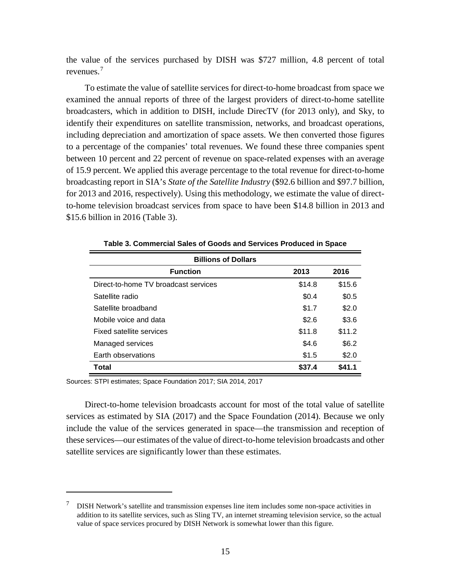the value of the services purchased by DISH was \$727 million, 4.8 percent of total revenues. [7](#page-26-0)

To estimate the value of satellite services for direct-to-home broadcast from space we examined the annual reports of three of the largest providers of direct-to-home satellite broadcasters, which in addition to DISH, include DirecTV (for 2013 only), and Sky, to identify their expenditures on satellite transmission, networks, and broadcast operations, including depreciation and amortization of space assets. We then converted those figures to a percentage of the companies' total revenues. We found these three companies spent between 10 percent and 22 percent of revenue on space-related expenses with an average of 15.9 percent. We applied this average percentage to the total revenue for direct-to-home broadcasting report in SIA's *State of the Satellite Industry* (\$92.6 billion and \$97.7 billion, for 2013 and 2016, respectively). Using this methodology, we estimate the value of directto-home television broadcast services from space to have been \$14.8 billion in 2013 and \$15.6 billion in 2016 (Table 3).

| <b>Billions of Dollars</b>           |        |        |  |  |
|--------------------------------------|--------|--------|--|--|
| <b>Function</b>                      | 2013   | 2016   |  |  |
| Direct-to-home TV broadcast services | \$14.8 | \$15.6 |  |  |
| Satellite radio                      | \$0.4  | \$0.5  |  |  |
| Satellite broadband                  | \$1.7  | \$2.0  |  |  |
| Mobile voice and data                | \$2.6  | \$3.6  |  |  |
| Fixed satellite services             | \$11.8 | \$11.2 |  |  |
| Managed services                     | \$4.6  | \$6.2  |  |  |
| Earth observations                   | \$1.5  | \$2.0  |  |  |
| Total                                | \$37.4 | \$41.1 |  |  |

**Table 3. Commercial Sales of Goods and Services Produced in Space**

Sources: STPI estimates; Space Foundation 2017; SIA 2014, 2017

 $\overline{a}$ 

Direct-to-home television broadcasts account for most of the total value of satellite services as estimated by SIA (2017) and the Space Foundation (2014). Because we only include the value of the services generated in space—the transmission and reception of these services—our estimates of the value of direct-to-home television broadcasts and other satellite services are significantly lower than these estimates.

<span id="page-26-0"></span> $7\quad$  DISH Network's satellite and transmission expenses line item includes some non-space activities in addition to its satellite services, such as Sling TV, an internet streaming television service, so the actual value of space services procured by DISH Network is somewhat lower than this figure.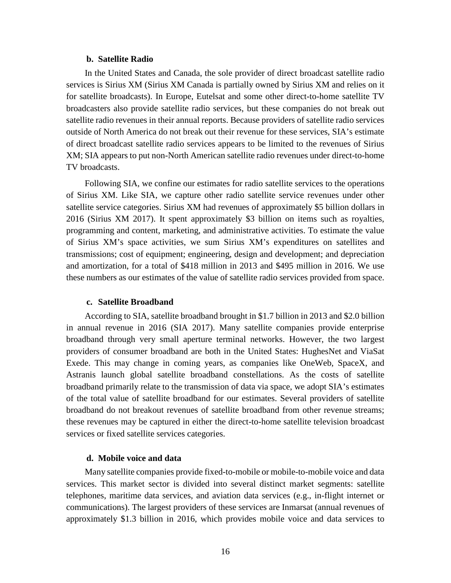#### **b. Satellite Radio**

In the United States and Canada, the sole provider of direct broadcast satellite radio services is Sirius XM (Sirius XM Canada is partially owned by Sirius XM and relies on it for satellite broadcasts). In Europe, Eutelsat and some other direct-to-home satellite TV broadcasters also provide satellite radio services, but these companies do not break out satellite radio revenues in their annual reports. Because providers of satellite radio services outside of North America do not break out their revenue for these services, SIA's estimate of direct broadcast satellite radio services appears to be limited to the revenues of Sirius XM; SIA appears to put non-North American satellite radio revenues under direct-to-home TV broadcasts.

Following SIA, we confine our estimates for radio satellite services to the operations of Sirius XM. Like SIA, we capture other radio satellite service revenues under other satellite service categories. Sirius XM had revenues of approximately \$5 billion dollars in 2016 (Sirius XM 2017). It spent approximately \$3 billion on items such as royalties, programming and content, marketing, and administrative activities. To estimate the value of Sirius XM's space activities, we sum Sirius XM's expenditures on satellites and transmissions; cost of equipment; engineering, design and development; and depreciation and amortization, for a total of \$418 million in 2013 and \$495 million in 2016. We use these numbers as our estimates of the value of satellite radio services provided from space.

#### **c. Satellite Broadband**

According to SIA, satellite broadband brought in \$1.7 billion in 2013 and \$2.0 billion in annual revenue in 2016 (SIA 2017). Many satellite companies provide enterprise broadband through very small aperture terminal networks. However, the two largest providers of consumer broadband are both in the United States: HughesNet and ViaSat Exede. This may change in coming years, as companies like OneWeb, SpaceX, and Astranis launch global satellite broadband constellations. As the costs of satellite broadband primarily relate to the transmission of data via space, we adopt SIA's estimates of the total value of satellite broadband for our estimates. Several providers of satellite broadband do not breakout revenues of satellite broadband from other revenue streams; these revenues may be captured in either the direct-to-home satellite television broadcast services or fixed satellite services categories.

# **d. Mobile voice and data**

Many satellite companies provide fixed-to-mobile or mobile-to-mobile voice and data services. This market sector is divided into several distinct market segments: satellite telephones, maritime data services, and aviation data services (e.g., in-flight internet or communications). The largest providers of these services are Inmarsat (annual revenues of approximately \$1.3 billion in 2016, which provides mobile voice and data services to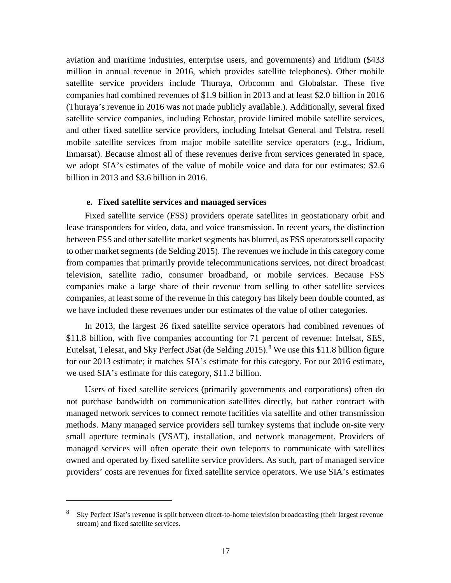aviation and maritime industries, enterprise users, and governments) and Iridium (\$433 million in annual revenue in 2016, which provides satellite telephones). Other mobile satellite service providers include Thuraya, Orbcomm and Globalstar. These five companies had combined revenues of \$1.9 billion in 2013 and at least \$2.0 billion in 2016 (Thuraya's revenue in 2016 was not made publicly available.). Additionally, several fixed satellite service companies, including Echostar, provide limited mobile satellite services, and other fixed satellite service providers, including Intelsat General and Telstra, resell mobile satellite services from major mobile satellite service operators (e.g., Iridium, Inmarsat). Because almost all of these revenues derive from services generated in space, we adopt SIA's estimates of the value of mobile voice and data for our estimates: \$2.6 billion in 2013 and \$3.6 billion in 2016.

#### **e. Fixed satellite services and managed services**

Fixed satellite service (FSS) providers operate satellites in geostationary orbit and lease transponders for video, data, and voice transmission. In recent years, the distinction between FSS and other satellite market segments has blurred, as FSS operators sell capacity to other market segments (de Selding 2015). The revenues we include in this category come from companies that primarily provide telecommunications services, not direct broadcast television, satellite radio, consumer broadband, or mobile services. Because FSS companies make a large share of their revenue from selling to other satellite services companies, at least some of the revenue in this category has likely been double counted, as we have included these revenues under our estimates of the value of other categories.

In 2013, the largest 26 fixed satellite service operators had combined revenues of \$11.8 billion, with five companies accounting for 71 percent of revenue: Intelsat, SES, Eutelsat, Telesat, and Sky Perfect JSat (de Selding  $2015$ ).<sup>[8](#page-28-0)</sup> We use this \$11.8 billion figure for our 2013 estimate; it matches SIA's estimate for this category. For our 2016 estimate, we used SIA's estimate for this category, \$11.2 billion.

Users of fixed satellite services (primarily governments and corporations) often do not purchase bandwidth on communication satellites directly, but rather contract with managed network services to connect remote facilities via satellite and other transmission methods. Many managed service providers sell turnkey systems that include on-site very small aperture terminals (VSAT), installation, and network management. Providers of managed services will often operate their own teleports to communicate with satellites owned and operated by fixed satellite service providers. As such, part of managed service providers' costs are revenues for fixed satellite service operators. We use SIA's estimates

 $\overline{a}$ 

<span id="page-28-0"></span><sup>8</sup> Sky Perfect JSat's revenue is split between direct-to-home television broadcasting (their largest revenue stream) and fixed satellite services.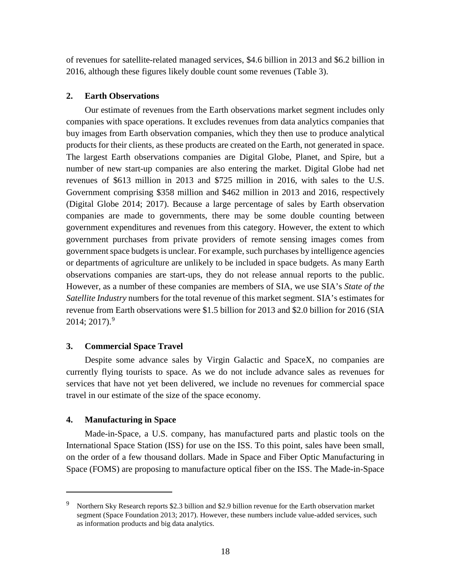of revenues for satellite-related managed services, \$4.6 billion in 2013 and \$6.2 billion in 2016, although these figures likely double count some revenues (Table 3).

#### <span id="page-29-0"></span>**2. Earth Observations**

Our estimate of revenues from the Earth observations market segment includes only companies with space operations. It excludes revenues from data analytics companies that buy images from Earth observation companies, which they then use to produce analytical products for their clients, as these products are created on the Earth, not generated in space. The largest Earth observations companies are Digital Globe, Planet, and Spire, but a number of new start-up companies are also entering the market. Digital Globe had net revenues of \$613 million in 2013 and \$725 million in 2016, with sales to the U.S. Government comprising \$358 million and \$462 million in 2013 and 2016, respectively (Digital Globe 2014; 2017). Because a large percentage of sales by Earth observation companies are made to governments, there may be some double counting between government expenditures and revenues from this category. However, the extent to which government purchases from private providers of remote sensing images comes from government space budgets is unclear. For example, such purchases by intelligence agencies or departments of agriculture are unlikely to be included in space budgets. As many Earth observations companies are start-ups, they do not release annual reports to the public. However, as a number of these companies are members of SIA, we use SIA's *State of the Satellite Industry* numbers for the total revenue of this market segment. SIA's estimates for revenue from Earth observations were \$1.5 billion for 2013 and \$2.0 billion for 2016 (SIA 2014; 2017). [9](#page-29-3)

#### <span id="page-29-1"></span>**3. Commercial Space Travel**

Despite some advance sales by Virgin Galactic and SpaceX, no companies are currently flying tourists to space. As we do not include advance sales as revenues for services that have not yet been delivered, we include no revenues for commercial space travel in our estimate of the size of the space economy.

#### <span id="page-29-2"></span>**4. Manufacturing in Space**

 $\overline{a}$ 

Made-in-Space, a U.S. company, has manufactured parts and plastic tools on the International Space Station (ISS) for use on the ISS. To this point, sales have been small, on the order of a few thousand dollars. Made in Space and Fiber Optic Manufacturing in Space (FOMS) are proposing to manufacture optical fiber on the ISS. The Made-in-Space

<span id="page-29-3"></span><sup>9</sup> Northern Sky Research reports \$2.3 billion and \$2.9 billion revenue for the Earth observation market segment (Space Foundation 2013; 2017). However, these numbers include value-added services, such as information products and big data analytics.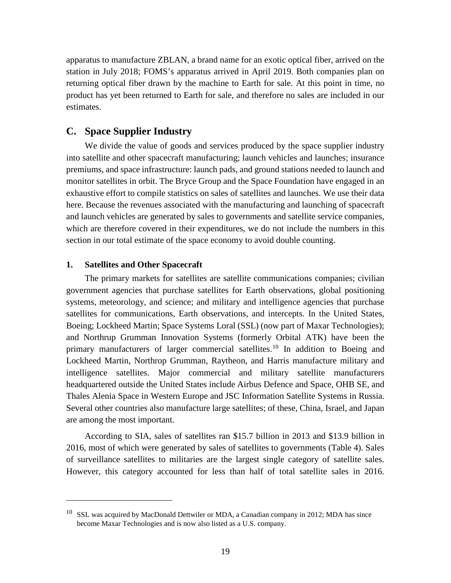apparatus to manufacture ZBLAN, a brand name for an exotic optical fiber, arrived on the station in July 2018; FOMS's apparatus arrived in April 2019. Both companies plan on returning optical fiber drawn by the machine to Earth for sale. At this point in time, no product has yet been returned to Earth for sale, and therefore no sales are included in our estimates.

# <span id="page-30-0"></span>**C. Space Supplier Industry**

We divide the value of goods and services produced by the space supplier industry into satellite and other spacecraft manufacturing; launch vehicles and launches; insurance premiums, and space infrastructure: launch pads, and ground stations needed to launch and monitor satellites in orbit. The Bryce Group and the Space Foundation have engaged in an exhaustive effort to compile statistics on sales of satellites and launches. We use their data here. Because the revenues associated with the manufacturing and launching of spacecraft and launch vehicles are generated by sales to governments and satellite service companies, which are therefore covered in their expenditures, we do not include the numbers in this section in our total estimate of the space economy to avoid double counting.

#### <span id="page-30-1"></span>**1. Satellites and Other Spacecraft**

 $\overline{a}$ 

The primary markets for satellites are satellite communications companies; civilian government agencies that purchase satellites for Earth observations, global positioning systems, meteorology, and science; and military and intelligence agencies that purchase satellites for communications, Earth observations, and intercepts. In the United States, Boeing; Lockheed Martin; Space Systems Loral (SSL) (now part of Maxar Technologies); and Northrup Grumman Innovation Systems (formerly Orbital ATK) have been the primary manufacturers of larger commercial satellites.<sup>[10](#page-30-2)</sup> In addition to Boeing and Lockheed Martin, Northrop Grumman, Raytheon, and Harris manufacture military and intelligence satellites. Major commercial and military satellite manufacturers headquartered outside the United States include Airbus Defence and Space, OHB SE, and Thales Alenia Space in Western Europe and JSC Information Satellite Systems in Russia. Several other countries also manufacture large satellites; of these, China, Israel, and Japan are among the most important.

According to SIA, sales of satellites ran \$15.7 billion in 2013 and \$13.9 billion in 2016, most of which were generated by sales of satellites to governments (Table 4). Sales of surveillance satellites to militaries are the largest single category of satellite sales. However, this category accounted for less than half of total satellite sales in 2016.

<span id="page-30-2"></span> $10$  SSL was acquired by MacDonald Dettwiler or MDA, a Canadian company in 2012; MDA has since become Maxar Technologies and is now also listed as a U.S. company.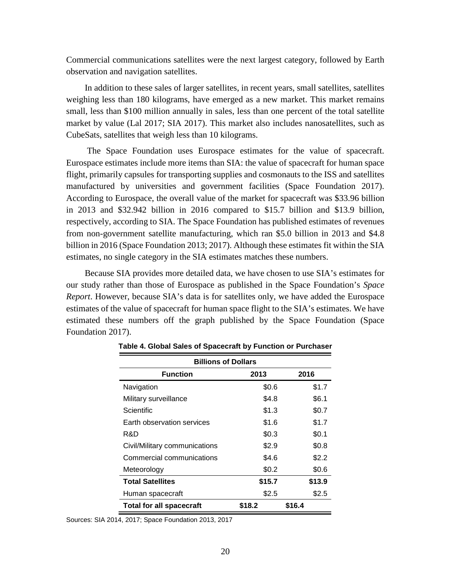Commercial communications satellites were the next largest category, followed by Earth observation and navigation satellites.

In addition to these sales of larger satellites, in recent years, small satellites, satellites weighing less than 180 kilograms, have emerged as a new market. This market remains small, less than \$100 million annually in sales, less than one percent of the total satellite market by value (Lal 2017; SIA 2017). This market also includes nanosatellites, such as CubeSats, satellites that weigh less than 10 kilograms.

The Space Foundation uses Eurospace estimates for the value of spacecraft. Eurospace estimates include more items than SIA: the value of spacecraft for human space flight, primarily capsules for transporting supplies and cosmonauts to the ISS and satellites manufactured by universities and government facilities (Space Foundation 2017). According to Eurospace, the overall value of the market for spacecraft was \$33.96 billion in 2013 and \$32.942 billion in 2016 compared to \$15.7 billion and \$13.9 billion, respectively, according to SIA. The Space Foundation has published estimates of revenues from non-government satellite manufacturing, which ran \$5.0 billion in 2013 and \$4.8 billion in 2016 (Space Foundation 2013; 2017). Although these estimates fit within the SIA estimates, no single category in the SIA estimates matches these numbers.

Because SIA provides more detailed data, we have chosen to use SIA's estimates for our study rather than those of Eurospace as published in the Space Foundation's *Space Report*. However, because SIA's data is for satellites only, we have added the Eurospace estimates of the value of spacecraft for human space flight to the SIA's estimates. We have estimated these numbers off the graph published by the Space Foundation (Space Foundation 2017).

| <b>Billions of Dollars</b>      |        |        |  |  |
|---------------------------------|--------|--------|--|--|
| <b>Function</b>                 | 2013   | 2016   |  |  |
| Navigation                      | \$0.6  | \$1.7  |  |  |
| Military surveillance           | \$4.8  | \$6.1  |  |  |
| Scientific                      | \$1.3  | \$0.7  |  |  |
| Earth observation services      | \$1.6  | \$1.7  |  |  |
| R&D                             | \$0.3  | \$0.1  |  |  |
| Civil/Military communications   | \$2.9  | \$0.8  |  |  |
| Commercial communications       | \$4.6  | \$2.2  |  |  |
| Meteorology                     | \$0.2  | \$0.6  |  |  |
| <b>Total Satellites</b>         | \$15.7 | \$13.9 |  |  |
| Human spacecraft                | \$2.5  | \$2.5  |  |  |
| <b>Total for all spacecraft</b> | \$18.2 | \$16.4 |  |  |

**Table 4. Global Sales of Spacecraft by Function or Purchaser**

Sources: SIA 2014, 2017; Space Foundation 2013, 2017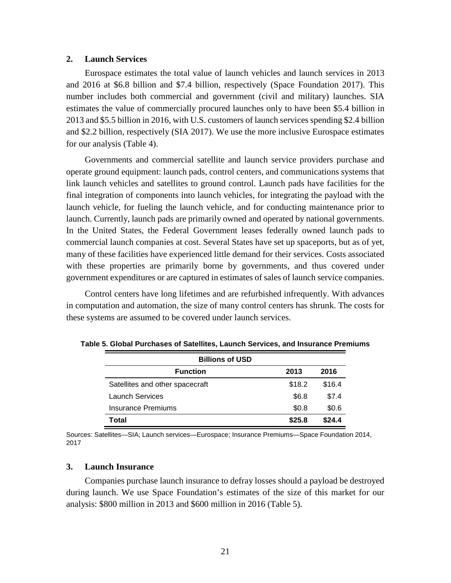#### <span id="page-32-0"></span>**2. Launch Services**

Eurospace estimates the total value of launch vehicles and launch services in 2013 and 2016 at \$6.8 billion and \$7.4 billion, respectively (Space Foundation 2017). This number includes both commercial and government (civil and military) launches. SIA estimates the value of commercially procured launches only to have been \$5.4 billion in 2013 and \$5.5 billion in 2016, with U.S. customers of launch services spending \$2.4 billion and \$2.2 billion, respectively (SIA 2017). We use the more inclusive Eurospace estimates for our analysis (Table 4).

Governments and commercial satellite and launch service providers purchase and operate ground equipment: launch pads, control centers, and communications systems that link launch vehicles and satellites to ground control. Launch pads have facilities for the final integration of components into launch vehicles, for integrating the payload with the launch vehicle, for fueling the launch vehicle, and for conducting maintenance prior to launch. Currently, launch pads are primarily owned and operated by national governments. In the United States, the Federal Government leases federally owned launch pads to commercial launch companies at cost. Several States have set up spaceports, but as of yet, many of these facilities have experienced little demand for their services. Costs associated with these properties are primarily borne by governments, and thus covered under government expenditures or are captured in estimates of sales of launch service companies.

Control centers have long lifetimes and are refurbished infrequently. With advances in computation and automation, the size of many control centers has shrunk. The costs for these systems are assumed to be covered under launch services.

| <b>Billions of USD</b>          |        |        |
|---------------------------------|--------|--------|
| <b>Function</b>                 | 2013   | 2016   |
| Satellites and other spacecraft | \$18.2 | \$16.4 |
| Launch Services                 | \$6.8  | \$7.4  |
| Insurance Premiums              | \$0.8  | \$0.6  |
| Total                           | \$25.8 | \$24.4 |

**Table 5. Global Purchases of Satellites, Launch Services, and Insurance Premiums**

Sources: Satellites—SIA; Launch services—Eurospace; Insurance Premiums—Space Foundation 2014, 2017

#### <span id="page-32-1"></span>**3. Launch Insurance**

Companies purchase launch insurance to defray losses should a payload be destroyed during launch. We use Space Foundation's estimates of the size of this market for our analysis: \$800 million in 2013 and \$600 million in 2016 (Table 5).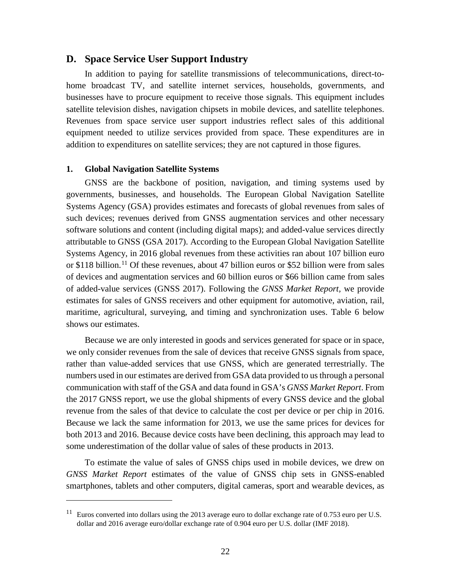# <span id="page-33-0"></span>**D. Space Service User Support Industry**

In addition to paying for satellite transmissions of telecommunications, direct-tohome broadcast TV, and satellite internet services, households, governments, and businesses have to procure equipment to receive those signals. This equipment includes satellite television dishes, navigation chipsets in mobile devices, and satellite telephones. Revenues from space service user support industries reflect sales of this additional equipment needed to utilize services provided from space. These expenditures are in addition to expenditures on satellite services; they are not captured in those figures.

#### <span id="page-33-1"></span>**1. Global Navigation Satellite Systems**

 $\overline{a}$ 

GNSS are the backbone of position, navigation, and timing systems used by governments, businesses, and households. The European Global Navigation Satellite Systems Agency (GSA) provides estimates and forecasts of global revenues from sales of such devices; revenues derived from GNSS augmentation services and other necessary software solutions and content (including digital maps); and added-value services directly attributable to GNSS (GSA 2017). According to the European Global Navigation Satellite Systems Agency, in 2016 global revenues from these activities ran about 107 billion euro or \$[11](#page-33-2)8 billion.<sup>11</sup> Of these revenues, about 47 billion euros or \$52 billion were from sales of devices and augmentation services and 60 billion euros or \$66 billion came from sales of added-value services (GNSS 2017). Following the *GNSS Market Report,* we provide estimates for sales of GNSS receivers and other equipment for automotive, aviation, rail, maritime, agricultural, surveying, and timing and synchronization uses. Table 6 below shows our estimates.

Because we are only interested in goods and services generated for space or in space, we only consider revenues from the sale of devices that receive GNSS signals from space, rather than value-added services that use GNSS, which are generated terrestrially. The numbers used in our estimates are derived from GSA data provided to us through a personal communication with staff of the GSA and data found in GSA's *GNSS Market Report*. From the 2017 GNSS report, we use the global shipments of every GNSS device and the global revenue from the sales of that device to calculate the cost per device or per chip in 2016. Because we lack the same information for 2013, we use the same prices for devices for both 2013 and 2016. Because device costs have been declining, this approach may lead to some underestimation of the dollar value of sales of these products in 2013.

To estimate the value of sales of GNSS chips used in mobile devices, we drew on *GNSS Market Report* estimates of the value of GNSS chip sets in GNSS-enabled smartphones, tablets and other computers, digital cameras, sport and wearable devices, as

<span id="page-33-2"></span> $11$  Euros converted into dollars using the 2013 average euro to dollar exchange rate of 0.753 euro per U.S. dollar and 2016 average euro/dollar exchange rate of 0.904 euro per U.S. dollar (IMF 2018).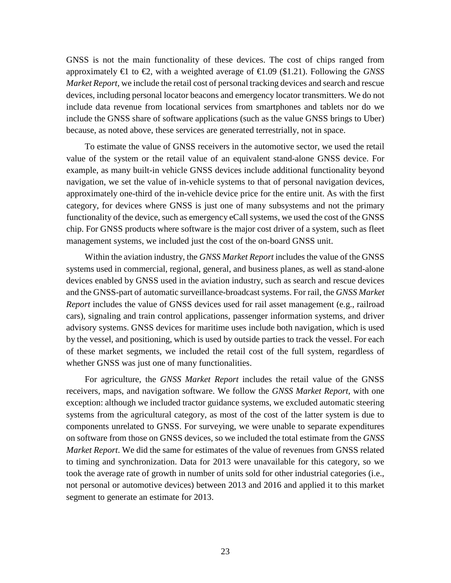GNSS is not the main functionality of these devices. The cost of chips ranged from approximately  $\in$  to  $\infty$ , with a weighted average of  $\infty$ .09 (\$1.21). Following the *GNSS Market Report,* we include the retail cost of personal tracking devices and search and rescue devices, including personal locator beacons and emergency locator transmitters. We do not include data revenue from locational services from smartphones and tablets nor do we include the GNSS share of software applications (such as the value GNSS brings to Uber) because, as noted above, these services are generated terrestrially, not in space.

To estimate the value of GNSS receivers in the automotive sector, we used the retail value of the system or the retail value of an equivalent stand-alone GNSS device. For example, as many built-in vehicle GNSS devices include additional functionality beyond navigation, we set the value of in-vehicle systems to that of personal navigation devices, approximately one-third of the in-vehicle device price for the entire unit. As with the first category, for devices where GNSS is just one of many subsystems and not the primary functionality of the device, such as emergency eCall systems, we used the cost of the GNSS chip. For GNSS products where software is the major cost driver of a system, such as fleet management systems, we included just the cost of the on-board GNSS unit.

Within the aviation industry, the *GNSS Market Report* includes the value of the GNSS systems used in commercial, regional, general, and business planes, as well as stand-alone devices enabled by GNSS used in the aviation industry, such as search and rescue devices and the GNSS-part of automatic surveillance-broadcast systems. For rail, the *GNSS Market Report* includes the value of GNSS devices used for rail asset management (e.g., railroad cars), signaling and train control applications, passenger information systems, and driver advisory systems. GNSS devices for maritime uses include both navigation, which is used by the vessel, and positioning, which is used by outside parties to track the vessel. For each of these market segments, we included the retail cost of the full system, regardless of whether GNSS was just one of many functionalities.

For agriculture, the *GNSS Market Report* includes the retail value of the GNSS receivers, maps, and navigation software. We follow the *GNSS Market Report*, with one exception: although we included tractor guidance systems, we excluded automatic steering systems from the agricultural category, as most of the cost of the latter system is due to components unrelated to GNSS. For surveying, we were unable to separate expenditures on software from those on GNSS devices, so we included the total estimate from the *GNSS Market Report*. We did the same for estimates of the value of revenues from GNSS related to timing and synchronization. Data for 2013 were unavailable for this category, so we took the average rate of growth in number of units sold for other industrial categories (i.e., not personal or automotive devices) between 2013 and 2016 and applied it to this market segment to generate an estimate for 2013.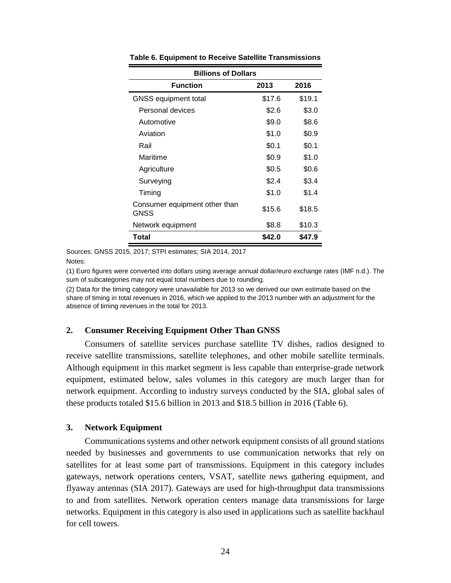| <b>Billions of Dollars</b>                   |        |        |  |  |  |  |
|----------------------------------------------|--------|--------|--|--|--|--|
| <b>Function</b><br>2016<br>2013              |        |        |  |  |  |  |
| <b>GNSS equipment total</b>                  | \$17.6 | \$19.1 |  |  |  |  |
| Personal devices                             | \$2.6  | \$3.0  |  |  |  |  |
| Automotive                                   | \$9.0  | \$8.6  |  |  |  |  |
| Aviation                                     | \$1.0  | \$0.9  |  |  |  |  |
| Rail                                         | \$0.1  | \$0.1  |  |  |  |  |
| Maritime                                     | \$0.9  | \$1.0  |  |  |  |  |
| Agriculture                                  | \$0.5  | \$0.6  |  |  |  |  |
| Surveying                                    | \$2.4  | \$3.4  |  |  |  |  |
| Timing                                       | \$1.0  | \$1.4  |  |  |  |  |
| Consumer equipment other than<br><b>GNSS</b> | \$15.6 | \$18.5 |  |  |  |  |
| Network equipment                            | \$8.8  | \$10.3 |  |  |  |  |
| Total                                        | \$42.0 | \$47.9 |  |  |  |  |

**Table 6. Equipment to Receive Satellite Transmissions**

Sources: GNSS 2015, 2017; STPI estimates; SIA 2014, 2017

Notes:

(1) Euro figures were converted into dollars using average annual dollar/euro exchange rates (IMF n.d.). The sum of subcategories may not equal total numbers due to rounding.

(2) Data for the timing category were unavailable for 2013 so we derived our own estimate based on the share of timing in total revenues in 2016, which we applied to the 2013 number with an adjustment for the absence of timing revenues in the total for 2013.

# <span id="page-35-0"></span>**2. Consumer Receiving Equipment Other Than GNSS**

Consumers of satellite services purchase satellite TV dishes, radios designed to receive satellite transmissions, satellite telephones, and other mobile satellite terminals. Although equipment in this market segment is less capable than enterprise-grade network equipment, estimated below, sales volumes in this category are much larger than for network equipment. According to industry surveys conducted by the SIA, global sales of these products totaled \$15.6 billion in 2013 and \$18.5 billion in 2016 (Table 6).

# <span id="page-35-1"></span>**3. Network Equipment**

Communications systems and other network equipment consists of all ground stations needed by businesses and governments to use communication networks that rely on satellites for at least some part of transmissions. Equipment in this category includes gateways, network operations centers, VSAT, satellite news gathering equipment, and flyaway antennas (SIA 2017). Gateways are used for high-throughput data transmissions to and from satellites. Network operation centers manage data transmissions for large networks. Equipment in this category is also used in applications such as satellite backhaul for cell towers.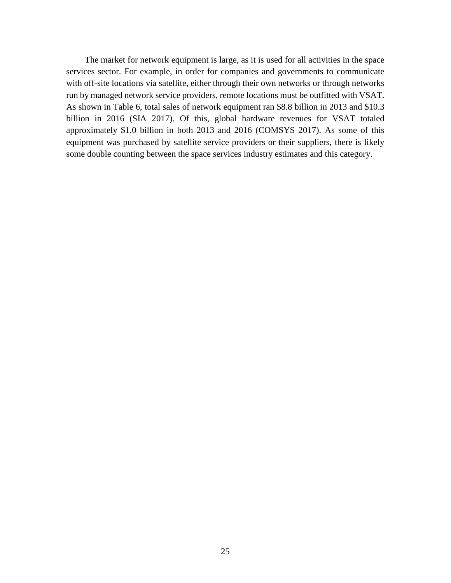The market for network equipment is large, as it is used for all activities in the space services sector. For example, in order for companies and governments to communicate with off-site locations via satellite, either through their own networks or through networks run by managed network service providers, remote locations must be outfitted with VSAT. As shown in Table 6, total sales of network equipment ran \$8.8 billion in 2013 and \$10.3 billion in 2016 (SIA 2017). Of this, global hardware revenues for VSAT totaled approximately \$1.0 billion in both 2013 and 2016 (COMSYS 2017). As some of this equipment was purchased by satellite service providers or their suppliers, there is likely some double counting between the space services industry estimates and this category.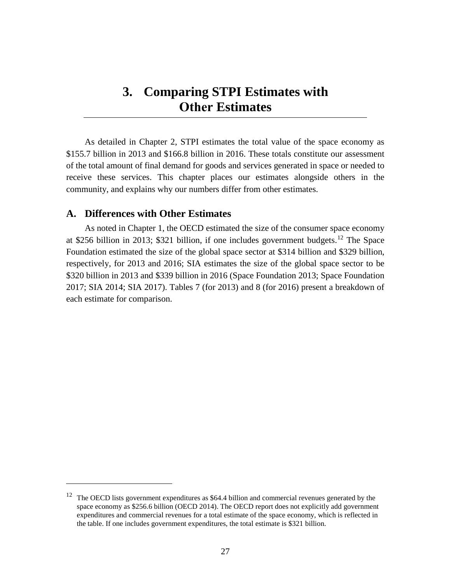# <span id="page-38-0"></span>**3. Comparing STPI Estimates with Other Estimates**

As detailed in Chapter 2, STPI estimates the total value of the space economy as \$155.7 billion in 2013 and \$166.8 billion in 2016. These totals constitute our assessment of the total amount of final demand for goods and services generated in space or needed to receive these services. This chapter places our estimates alongside others in the community, and explains why our numbers differ from other estimates.

# <span id="page-38-1"></span>**A. Differences with Other Estimates**

As noted in Chapter 1, the OECD estimated the size of the consumer space economy at \$256 billion in 2013; \$321 billion, if one includes government budgets.<sup>[12](#page-38-2)</sup> The Space Foundation estimated the size of the global space sector at \$314 billion and \$329 billion, respectively, for 2013 and 2016; SIA estimates the size of the global space sector to be \$320 billion in 2013 and \$339 billion in 2016 (Space Foundation 2013; Space Foundation 2017; SIA 2014; SIA 2017). Tables 7 (for 2013) and 8 (for 2016) present a breakdown of each estimate for comparison.

<span id="page-38-2"></span> $12$  The OECD lists government expenditures as \$64.4 billion and commercial revenues generated by the space economy as \$256.6 billion (OECD 2014). The OECD report does not explicitly add government expenditures and commercial revenues for a total estimate of the space economy, which is reflected in the table. If one includes government expenditures, the total estimate is \$321 billion.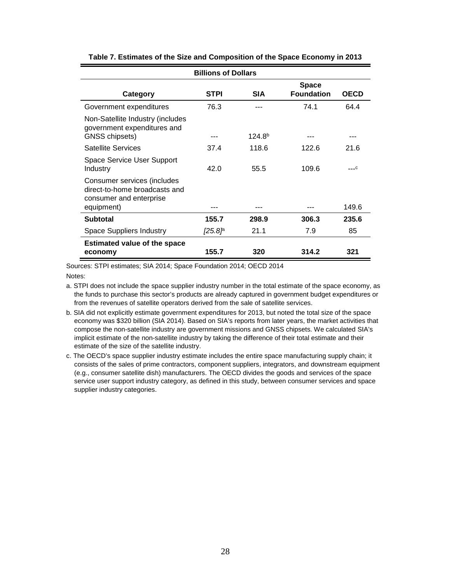| <b>Billions of Dollars</b>                                                              |             |                    |                                   |                |  |
|-----------------------------------------------------------------------------------------|-------------|--------------------|-----------------------------------|----------------|--|
| Category                                                                                | <b>STPI</b> | <b>SIA</b>         | <b>Space</b><br><b>Foundation</b> | <b>OECD</b>    |  |
| Government expenditures                                                                 | 76.3        |                    | 74.1                              | 64.4           |  |
| Non-Satellite Industry (includes<br>government expenditures and<br>GNSS chipsets)       |             | 124.8 <sup>b</sup> |                                   | ---            |  |
| <b>Satellite Services</b>                                                               | 37.4        | 118.6              | 122.6                             | 21.6           |  |
| <b>Space Service User Support</b><br>Industry                                           | 42.0        | 55.5               | 109.6                             | $\overline{c}$ |  |
| Consumer services (includes<br>direct-to-home broadcasts and<br>consumer and enterprise |             |                    |                                   | 149.6          |  |
| equipment)                                                                              |             |                    |                                   |                |  |
| <b>Subtotal</b>                                                                         | 155.7       | 298.9              | 306.3                             | 235.6          |  |
| <b>Space Suppliers Industry</b>                                                         | /25.8P      | 21.1               | 7.9                               | 85             |  |
| <b>Estimated value of the space</b><br>economy                                          | 155.7       | 320                | 314.2                             | 321            |  |

**Table 7. Estimates of the Size and Composition of the Space Economy in 2013**

Sources: STPI estimates; SIA 2014; Space Foundation 2014; OECD 2014 Notes:

- a. STPI does not include the space supplier industry number in the total estimate of the space economy, as the funds to purchase this sector's products are already captured in government budget expenditures or from the revenues of satellite operators derived from the sale of satellite services.
- b. SIA did not explicitly estimate government expenditures for 2013, but noted the total size of the space economy was \$320 billion (SIA 2014). Based on SIA's reports from later years, the market activities that compose the non-satellite industry are government missions and GNSS chipsets. We calculated SIA's implicit estimate of the non-satellite industry by taking the difference of their total estimate and their estimate of the size of the satellite industry.
- c. The OECD's space supplier industry estimate includes the entire space manufacturing supply chain; it consists of the sales of prime contractors, component suppliers, integrators, and downstream equipment (e.g., consumer satellite dish) manufacturers. The OECD divides the goods and services of the space service user support industry category, as defined in this study, between consumer services and space supplier industry categories.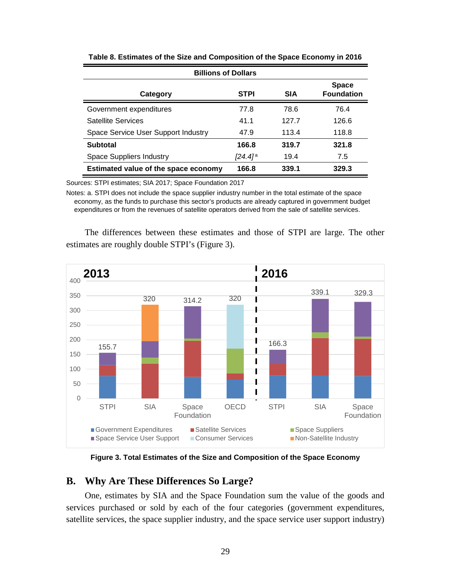| <b>Billions of Dollars</b>           |                                   |       |       |  |  |
|--------------------------------------|-----------------------------------|-------|-------|--|--|
| Category                             | <b>Space</b><br><b>Foundation</b> |       |       |  |  |
| Government expenditures              | 77.8                              | 78.6  | 76.4  |  |  |
| Satellite Services                   | 41.1                              | 127.7 | 126.6 |  |  |
| Space Service User Support Industry  | 47.9                              | 113.4 | 118.8 |  |  |
| Subtotal                             | 166.8                             | 319.7 | 321.8 |  |  |
| <b>Space Suppliers Industry</b>      | <i>[</i> 24.4]ª                   | 19.4  | 7.5   |  |  |
| Estimated value of the space economy | 166.8                             | 339.1 | 329.3 |  |  |

**Table 8. Estimates of the Size and Composition of the Space Economy in 2016**

Sources: STPI estimates; SIA 2017; Space Foundation 2017

Notes: a. STPI does not include the space supplier industry number in the total estimate of the space economy, as the funds to purchase this sector's products are already captured in government budget expenditures or from the revenues of satellite operators derived from the sale of satellite services.

The differences between these estimates and those of STPI are large. The other estimates are roughly double STPI's (Figure 3).



**Figure 3. Total Estimates of the Size and Composition of the Space Economy**

# <span id="page-40-0"></span>**B. Why Are These Differences So Large?**

One, estimates by SIA and the Space Foundation sum the value of the goods and services purchased or sold by each of the four categories (government expenditures, satellite services, the space supplier industry, and the space service user support industry)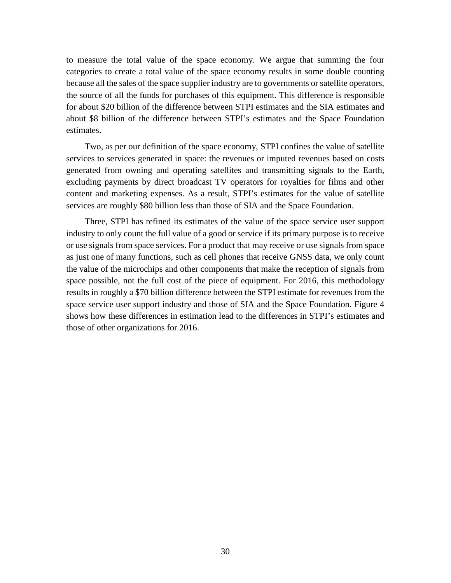to measure the total value of the space economy. We argue that summing the four categories to create a total value of the space economy results in some double counting because all the sales of the space supplier industry are to governments or satellite operators, the source of all the funds for purchases of this equipment. This difference is responsible for about \$20 billion of the difference between STPI estimates and the SIA estimates and about \$8 billion of the difference between STPI's estimates and the Space Foundation estimates.

Two, as per our definition of the space economy, STPI confines the value of satellite services to services generated in space: the revenues or imputed revenues based on costs generated from owning and operating satellites and transmitting signals to the Earth, excluding payments by direct broadcast TV operators for royalties for films and other content and marketing expenses. As a result, STPI's estimates for the value of satellite services are roughly \$80 billion less than those of SIA and the Space Foundation.

Three, STPI has refined its estimates of the value of the space service user support industry to only count the full value of a good or service if its primary purpose is to receive or use signals from space services. For a product that may receive or use signals from space as just one of many functions, such as cell phones that receive GNSS data, we only count the value of the microchips and other components that make the reception of signals from space possible, not the full cost of the piece of equipment. For 2016, this methodology results in roughly a \$70 billion difference between the STPI estimate for revenues from the space service user support industry and those of SIA and the Space Foundation. Figure 4 shows how these differences in estimation lead to the differences in STPI's estimates and those of other organizations for 2016.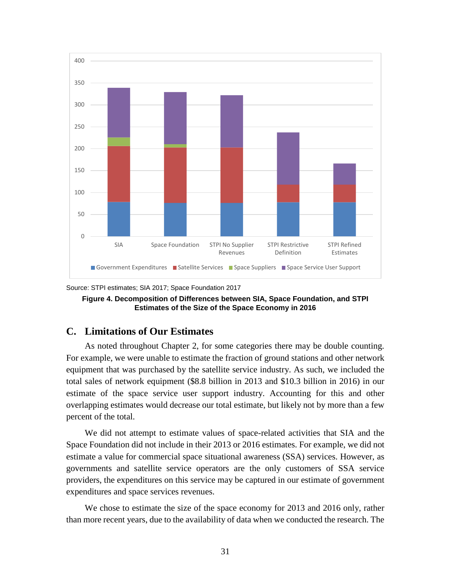

Source: STPI estimates; SIA 2017; Space Foundation 2017



# <span id="page-42-0"></span>**C. Limitations of Our Estimates**

As noted throughout Chapter 2, for some categories there may be double counting. For example, we were unable to estimate the fraction of ground stations and other network equipment that was purchased by the satellite service industry. As such, we included the total sales of network equipment (\$8.8 billion in 2013 and \$10.3 billion in 2016) in our estimate of the space service user support industry. Accounting for this and other overlapping estimates would decrease our total estimate, but likely not by more than a few percent of the total.

We did not attempt to estimate values of space-related activities that SIA and the Space Foundation did not include in their 2013 or 2016 estimates. For example, we did not estimate a value for commercial space situational awareness (SSA) services. However, as governments and satellite service operators are the only customers of SSA service providers, the expenditures on this service may be captured in our estimate of government expenditures and space services revenues.

We chose to estimate the size of the space economy for 2013 and 2016 only, rather than more recent years, due to the availability of data when we conducted the research. The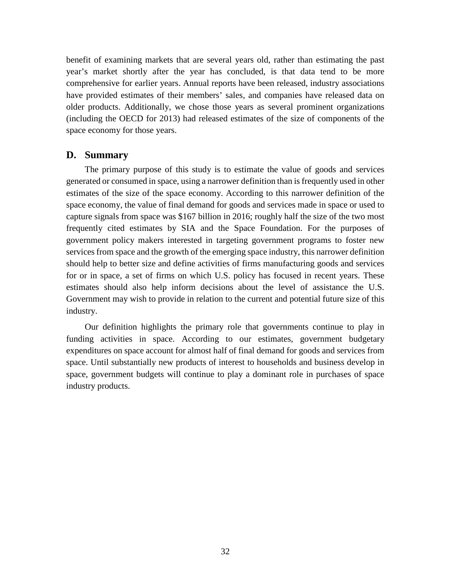benefit of examining markets that are several years old, rather than estimating the past year's market shortly after the year has concluded, is that data tend to be more comprehensive for earlier years. Annual reports have been released, industry associations have provided estimates of their members' sales, and companies have released data on older products. Additionally, we chose those years as several prominent organizations (including the OECD for 2013) had released estimates of the size of components of the space economy for those years.

# <span id="page-43-0"></span>**D. Summary**

The primary purpose of this study is to estimate the value of goods and services generated or consumed in space, using a narrower definition than is frequently used in other estimates of the size of the space economy. According to this narrower definition of the space economy, the value of final demand for goods and services made in space or used to capture signals from space was \$167 billion in 2016; roughly half the size of the two most frequently cited estimates by SIA and the Space Foundation. For the purposes of government policy makers interested in targeting government programs to foster new services from space and the growth of the emerging space industry, this narrower definition should help to better size and define activities of firms manufacturing goods and services for or in space, a set of firms on which U.S. policy has focused in recent years. These estimates should also help inform decisions about the level of assistance the U.S. Government may wish to provide in relation to the current and potential future size of this industry.

Our definition highlights the primary role that governments continue to play in funding activities in space. According to our estimates, government budgetary expenditures on space account for almost half of final demand for goods and services from space. Until substantially new products of interest to households and business develop in space, government budgets will continue to play a dominant role in purchases of space industry products.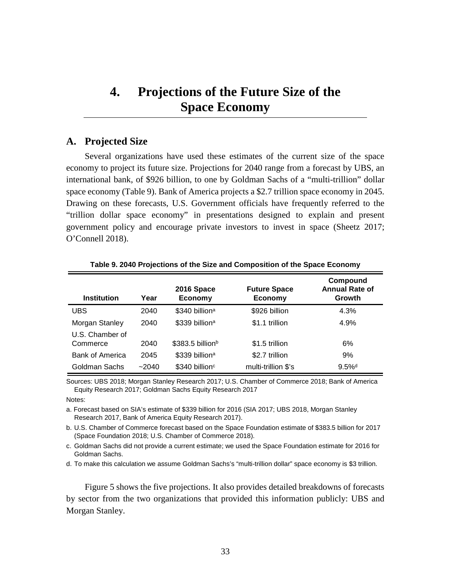# <span id="page-44-0"></span>**4. Projections of the Future Size of the Space Economy**

# <span id="page-44-1"></span>**A. Projected Size**

Several organizations have used these estimates of the current size of the space economy to project its future size. Projections for 2040 range from a forecast by UBS, an international bank, of \$926 billion, to one by Goldman Sachs of a "multi-trillion" dollar space economy (Table 9). Bank of America projects a \$2.7 trillion space economy in 2045. Drawing on these forecasts, U.S. Government officials have frequently referred to the "trillion dollar space economy" in presentations designed to explain and present government policy and encourage private investors to invest in space (Sheetz 2017; O'Connell 2018).

| <b>Institution</b>     | Year  | 2016 Space<br>Economy         | <b>Future Space</b><br><b>Economy</b> | Compound<br><b>Annual Rate of</b><br>Growth |
|------------------------|-------|-------------------------------|---------------------------------------|---------------------------------------------|
| <b>UBS</b>             | 2040  | \$340 billion <sup>a</sup>    | \$926 billion                         | 4.3%                                        |
| Morgan Stanley         | 2040  | \$339 billion <sup>a</sup>    | \$1.1 trillion                        | 4.9%                                        |
| U.S. Chamber of        |       |                               |                                       |                                             |
| Commerce               | 2040  | $$383.5$ billion <sup>b</sup> | \$1.5 trillion                        | 6%                                          |
| <b>Bank of America</b> | 2045  | \$339 billion <sup>a</sup>    | \$2.7 trillion                        | 9%                                          |
| Goldman Sachs          | ~2040 | \$340 billion <sup>c</sup>    | multi-trillion \$'s                   | $9.5\%$ <sup>d</sup>                        |

**Table 9. 2040 Projections of the Size and Composition of the Space Economy**

Sources: UBS 2018; Morgan Stanley Research 2017; U.S. Chamber of Commerce 2018; Bank of America Equity Research 2017; Goldman Sachs Equity Research 2017

Notes:

a. Forecast based on SIA's estimate of \$339 billion for 2016 (SIA 2017; UBS 2018, Morgan Stanley Research 2017, Bank of America Equity Research 2017).

b. U.S. Chamber of Commerce forecast based on the Space Foundation estimate of \$383.5 billion for 2017 (Space Foundation 2018; U.S. Chamber of Commerce 2018).

c. Goldman Sachs did not provide a current estimate; we used the Space Foundation estimate for 2016 for Goldman Sachs.

d. To make this calculation we assume Goldman Sachs's "multi-trillion dollar" space economy is \$3 trillion.

Figure 5 shows the five projections. It also provides detailed breakdowns of forecasts by sector from the two organizations that provided this information publicly: UBS and Morgan Stanley.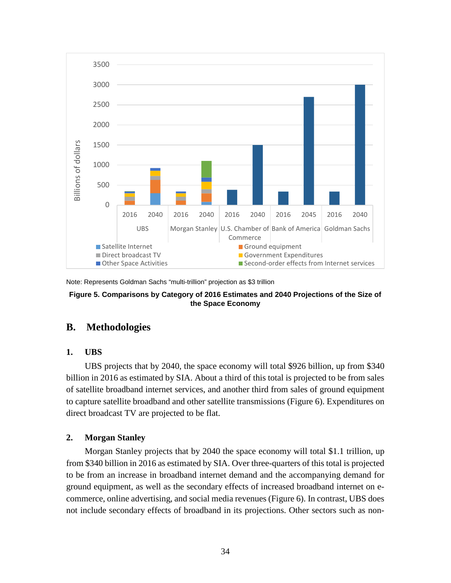

Note: Represents Goldman Sachs "multi-trillion" projection as \$3 trillion

#### **Figure 5. Comparisons by Category of 2016 Estimates and 2040 Projections of the Size of the Space Economy**

# <span id="page-45-1"></span><span id="page-45-0"></span>**B. Methodologies**

# **1. UBS**

UBS projects that by 2040, the space economy will total \$926 billion, up from \$340 billion in 2016 as estimated by SIA. About a third of this total is projected to be from sales of satellite broadband internet services, and another third from sales of ground equipment to capture satellite broadband and other satellite transmissions (Figure 6). Expenditures on direct broadcast TV are projected to be flat.

# <span id="page-45-2"></span>**2. Morgan Stanley**

Morgan Stanley projects that by 2040 the space economy will total \$1.1 trillion, up from \$340 billion in 2016 as estimated by SIA. Over three-quarters of this total is projected to be from an increase in broadband internet demand and the accompanying demand for ground equipment, as well as the secondary effects of increased broadband internet on ecommerce, online advertising, and social media revenues (Figure 6). In contrast, UBS does not include secondary effects of broadband in its projections. Other sectors such as non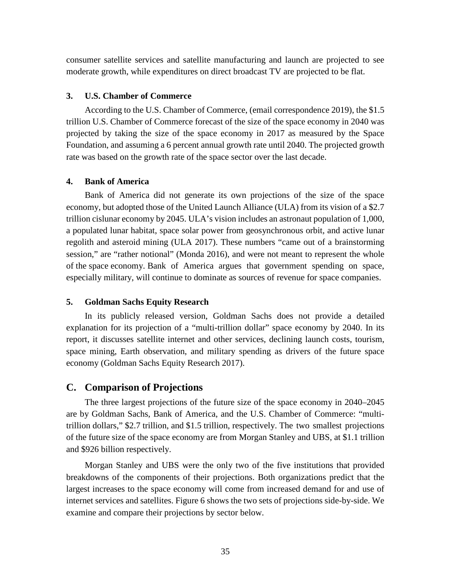consumer satellite services and satellite manufacturing and launch are projected to see moderate growth, while expenditures on direct broadcast TV are projected to be flat.

#### <span id="page-46-0"></span>**3. U.S. Chamber of Commerce**

According to the U.S. Chamber of Commerce, (email correspondence 2019), the \$1.5 trillion U.S. Chamber of Commerce forecast of the size of the space economy in 2040 was projected by taking the size of the space economy in 2017 as measured by the Space Foundation, and assuming a 6 percent annual growth rate until 2040. The projected growth rate was based on the growth rate of the space sector over the last decade.

#### <span id="page-46-1"></span>**4. Bank of America**

Bank of America did not generate its own projections of the size of the space economy, but adopted those of the United Launch Alliance (ULA) from its vision of a \$2.7 trillion cislunar economy by 2045. ULA's vision includes an astronaut population of 1,000, a populated lunar habitat, space solar power from geosynchronous orbit, and active lunar regolith and asteroid mining (ULA 2017). These numbers "came out of a brainstorming session," are "rather notional" (Monda 2016), and were not meant to represent the whole of the space economy. Bank of America argues that government spending on space, especially military, will continue to dominate as sources of revenue for space companies.

#### <span id="page-46-2"></span>**5. Goldman Sachs Equity Research**

In its publicly released version, Goldman Sachs does not provide a detailed explanation for its projection of a "multi-trillion dollar" space economy by 2040. In its report, it discusses satellite internet and other services, declining launch costs, tourism, space mining, Earth observation, and military spending as drivers of the future space economy (Goldman Sachs Equity Research 2017).

# <span id="page-46-3"></span>**C. Comparison of Projections**

The three largest projections of the future size of the space economy in 2040–2045 are by Goldman Sachs, Bank of America, and the U.S. Chamber of Commerce: "multitrillion dollars," \$2.7 trillion, and \$1.5 trillion, respectively. The two smallest projections of the future size of the space economy are from Morgan Stanley and UBS, at \$1.1 trillion and \$926 billion respectively.

Morgan Stanley and UBS were the only two of the five institutions that provided breakdowns of the components of their projections. Both organizations predict that the largest increases to the space economy will come from increased demand for and use of internet services and satellites. Figure 6 shows the two sets of projections side-by-side. We examine and compare their projections by sector below.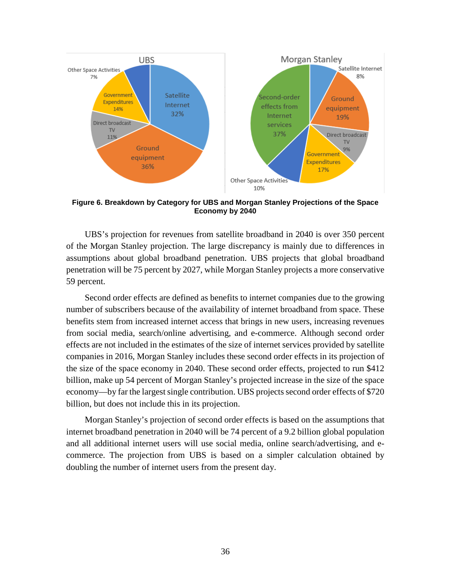

**Figure 6. Breakdown by Category for UBS and Morgan Stanley Projections of the Space Economy by 2040**

UBS's projection for revenues from satellite broadband in 2040 is over 350 percent of the Morgan Stanley projection. The large discrepancy is mainly due to differences in assumptions about global broadband penetration. UBS projects that global broadband penetration will be 75 percent by 2027, while Morgan Stanley projects a more conservative 59 percent.

Second order effects are defined as benefits to internet companies due to the growing number of subscribers because of the availability of internet broadband from space. These benefits stem from increased internet access that brings in new users, increasing revenues from social media, search/online advertising, and e-commerce. Although second order effects are not included in the estimates of the size of internet services provided by satellite companies in 2016, Morgan Stanley includes these second order effects in its projection of the size of the space economy in 2040. These second order effects, projected to run \$412 billion, make up 54 percent of Morgan Stanley's projected increase in the size of the space economy—by far the largest single contribution. UBS projects second order effects of \$720 billion, but does not include this in its projection.

Morgan Stanley's projection of second order effects is based on the assumptions that internet broadband penetration in 2040 will be 74 percent of a 9.2 billion global population and all additional internet users will use social media, online search/advertising, and ecommerce. The projection from UBS is based on a simpler calculation obtained by doubling the number of internet users from the present day.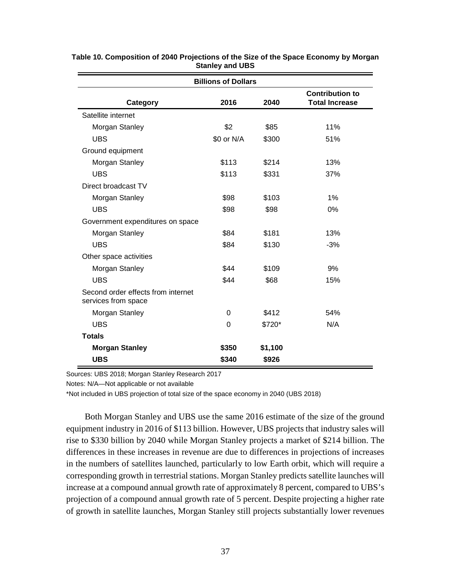| <b>Billions of Dollars</b>                                |            |         |                                                 |  |  |
|-----------------------------------------------------------|------------|---------|-------------------------------------------------|--|--|
| Category                                                  | 2016       | 2040    | <b>Contribution to</b><br><b>Total Increase</b> |  |  |
| Satellite internet                                        |            |         |                                                 |  |  |
| Morgan Stanley                                            | \$2        | \$85    | 11%                                             |  |  |
| <b>UBS</b>                                                | \$0 or N/A | \$300   | 51%                                             |  |  |
| Ground equipment                                          |            |         |                                                 |  |  |
| Morgan Stanley                                            | \$113      | \$214   | 13%                                             |  |  |
| <b>UBS</b>                                                | \$113      | \$331   | 37%                                             |  |  |
| Direct broadcast TV                                       |            |         |                                                 |  |  |
| Morgan Stanley                                            | \$98       | \$103   | 1%                                              |  |  |
| <b>UBS</b>                                                | \$98       | \$98    | 0%                                              |  |  |
| Government expenditures on space                          |            |         |                                                 |  |  |
| Morgan Stanley                                            | \$84       | \$181   | 13%                                             |  |  |
| <b>UBS</b>                                                | \$84       | \$130   | $-3%$                                           |  |  |
| Other space activities                                    |            |         |                                                 |  |  |
| Morgan Stanley                                            | \$44       | \$109   | 9%                                              |  |  |
| <b>UBS</b>                                                | \$44       | \$68    | 15%                                             |  |  |
| Second order effects from internet<br>services from space |            |         |                                                 |  |  |
| Morgan Stanley                                            | 0          | \$412   | 54%                                             |  |  |
| <b>UBS</b>                                                | $\Omega$   | $$720*$ | N/A                                             |  |  |
| <b>Totals</b>                                             |            |         |                                                 |  |  |
| \$350<br>\$1,100<br><b>Morgan Stanley</b>                 |            |         |                                                 |  |  |
| <b>UBS</b>                                                | \$340      | \$926   |                                                 |  |  |

**Table 10. Composition of 2040 Projections of the Size of the Space Economy by Morgan Stanley and UBS**

Sources: UBS 2018; Morgan Stanley Research 2017

Notes: N/A—Not applicable or not available

\*Not included in UBS projection of total size of the space economy in 2040 (UBS 2018)

Both Morgan Stanley and UBS use the same 2016 estimate of the size of the ground equipment industry in 2016 of \$113 billion. However, UBS projects that industry sales will rise to \$330 billion by 2040 while Morgan Stanley projects a market of \$214 billion. The differences in these increases in revenue are due to differences in projections of increases in the numbers of satellites launched, particularly to low Earth orbit, which will require a corresponding growth in terrestrial stations. Morgan Stanley predicts satellite launches will increase at a compound annual growth rate of approximately 8 percent, compared to UBS's projection of a compound annual growth rate of 5 percent. Despite projecting a higher rate of growth in satellite launches, Morgan Stanley still projects substantially lower revenues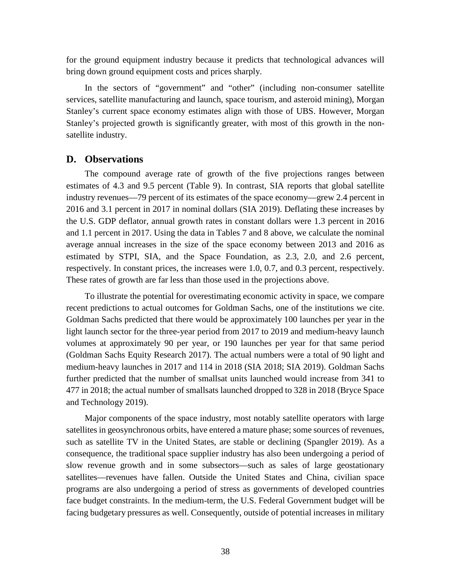for the ground equipment industry because it predicts that technological advances will bring down ground equipment costs and prices sharply.

In the sectors of "government" and "other" (including non-consumer satellite services, satellite manufacturing and launch, space tourism, and asteroid mining), Morgan Stanley's current space economy estimates align with those of UBS. However, Morgan Stanley's projected growth is significantly greater, with most of this growth in the nonsatellite industry.

# <span id="page-49-0"></span>**D. Observations**

The compound average rate of growth of the five projections ranges between estimates of 4.3 and 9.5 percent (Table 9). In contrast, SIA reports that global satellite industry revenues—79 percent of its estimates of the space economy—grew 2.4 percent in 2016 and 3.1 percent in 2017 in nominal dollars (SIA 2019). Deflating these increases by the U.S. GDP deflator, annual growth rates in constant dollars were 1.3 percent in 2016 and 1.1 percent in 2017. Using the data in Tables 7 and 8 above, we calculate the nominal average annual increases in the size of the space economy between 2013 and 2016 as estimated by STPI, SIA, and the Space Foundation, as 2.3, 2.0, and 2.6 percent, respectively. In constant prices, the increases were 1.0, 0.7, and 0.3 percent, respectively. These rates of growth are far less than those used in the projections above.

To illustrate the potential for overestimating economic activity in space, we compare recent predictions to actual outcomes for Goldman Sachs, one of the institutions we cite. Goldman Sachs predicted that there would be approximately 100 launches per year in the light launch sector for the three-year period from 2017 to 2019 and medium-heavy launch volumes at approximately 90 per year, or 190 launches per year for that same period (Goldman Sachs Equity Research 2017). The actual numbers were a total of 90 light and medium-heavy launches in 2017 and 114 in 2018 (SIA 2018; SIA 2019). Goldman Sachs further predicted that the number of smallsat units launched would increase from 341 to 477 in 2018; the actual number of smallsats launched dropped to 328 in 2018 (Bryce Space and Technology 2019).

Major components of the space industry, most notably satellite operators with large satellites in geosynchronous orbits, have entered a mature phase; some sources of revenues, such as satellite TV in the United States, are stable or declining (Spangler 2019). As a consequence, the traditional space supplier industry has also been undergoing a period of slow revenue growth and in some subsectors—such as sales of large geostationary satellites—revenues have fallen. Outside the United States and China, civilian space programs are also undergoing a period of stress as governments of developed countries face budget constraints. In the medium-term, the U.S. Federal Government budget will be facing budgetary pressures as well. Consequently, outside of potential increases in military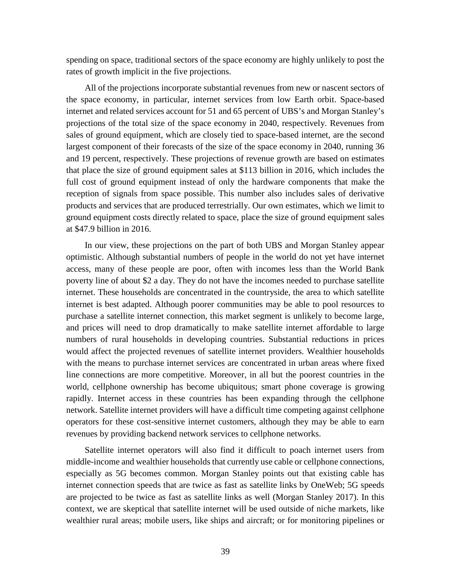spending on space, traditional sectors of the space economy are highly unlikely to post the rates of growth implicit in the five projections.

All of the projections incorporate substantial revenues from new or nascent sectors of the space economy, in particular, internet services from low Earth orbit. Space-based internet and related services account for 51 and 65 percent of UBS's and Morgan Stanley's projections of the total size of the space economy in 2040, respectively. Revenues from sales of ground equipment, which are closely tied to space-based internet, are the second largest component of their forecasts of the size of the space economy in 2040, running 36 and 19 percent, respectively. These projections of revenue growth are based on estimates that place the size of ground equipment sales at \$113 billion in 2016, which includes the full cost of ground equipment instead of only the hardware components that make the reception of signals from space possible. This number also includes sales of derivative products and services that are produced terrestrially. Our own estimates, which we limit to ground equipment costs directly related to space, place the size of ground equipment sales at \$47.9 billion in 2016.

In our view, these projections on the part of both UBS and Morgan Stanley appear optimistic. Although substantial numbers of people in the world do not yet have internet access, many of these people are poor, often with incomes less than the World Bank poverty line of about \$2 a day. They do not have the incomes needed to purchase satellite internet. These households are concentrated in the countryside, the area to which satellite internet is best adapted. Although poorer communities may be able to pool resources to purchase a satellite internet connection, this market segment is unlikely to become large, and prices will need to drop dramatically to make satellite internet affordable to large numbers of rural households in developing countries. Substantial reductions in prices would affect the projected revenues of satellite internet providers. Wealthier households with the means to purchase internet services are concentrated in urban areas where fixed line connections are more competitive. Moreover, in all but the poorest countries in the world, cellphone ownership has become ubiquitous; smart phone coverage is growing rapidly. Internet access in these countries has been expanding through the cellphone network. Satellite internet providers will have a difficult time competing against cellphone operators for these cost-sensitive internet customers, although they may be able to earn revenues by providing backend network services to cellphone networks.

Satellite internet operators will also find it difficult to poach internet users from middle-income and wealthier households that currently use cable or cellphone connections, especially as 5G becomes common. Morgan Stanley points out that existing cable has internet connection speeds that are twice as fast as satellite links by OneWeb; 5G speeds are projected to be twice as fast as satellite links as well (Morgan Stanley 2017). In this context, we are skeptical that satellite internet will be used outside of niche markets, like wealthier rural areas; mobile users, like ships and aircraft; or for monitoring pipelines or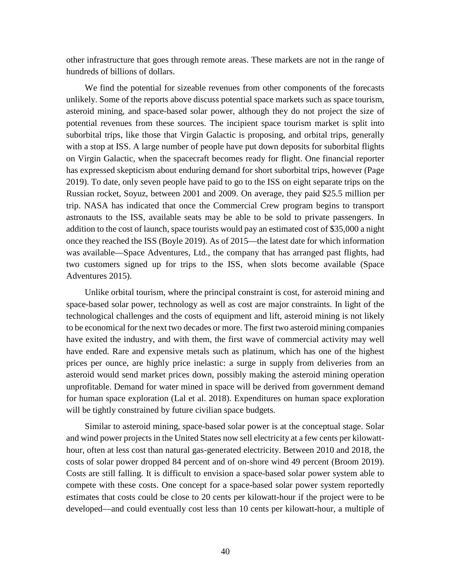other infrastructure that goes through remote areas. These markets are not in the range of hundreds of billions of dollars.

We find the potential for sizeable revenues from other components of the forecasts unlikely. Some of the reports above discuss potential space markets such as space tourism, asteroid mining, and space-based solar power, although they do not project the size of potential revenues from these sources. The incipient space tourism market is split into suborbital trips, like those that Virgin Galactic is proposing, and orbital trips, generally with a stop at ISS. A large number of people have put down deposits for suborbital flights on Virgin Galactic, when the spacecraft becomes ready for flight. One financial reporter has expressed skepticism about enduring demand for short suborbital trips, however (Page 2019). To date, only seven people have paid to go to the ISS on eight separate trips on the Russian rocket, Soyuz, between 2001 and 2009. On average, they paid \$25.5 million per trip. NASA has indicated that once the Commercial Crew program begins to transport astronauts to the ISS, available seats may be able to be sold to private passengers. In addition to the cost of launch, space tourists would pay an estimated cost of \$35,000 a night once they reached the ISS (Boyle 2019). As of 2015—the latest date for which information was available—Space Adventures, Ltd., the company that has arranged past flights, had two customers signed up for trips to the ISS, when slots become available (Space Adventures 2015).

Unlike orbital tourism, where the principal constraint is cost, for asteroid mining and space-based solar power, technology as well as cost are major constraints. In light of the technological challenges and the costs of equipment and lift, asteroid mining is not likely to be economical for the next two decades or more. The first two asteroid mining companies have exited the industry, and with them, the first wave of commercial activity may well have ended. Rare and expensive metals such as platinum, which has one of the highest prices per ounce, are highly price inelastic: a surge in supply from deliveries from an asteroid would send market prices down, possibly making the asteroid mining operation unprofitable. Demand for water mined in space will be derived from government demand for human space exploration (Lal et al. 2018). Expenditures on human space exploration will be tightly constrained by future civilian space budgets.

Similar to asteroid mining, space-based solar power is at the conceptual stage. Solar and wind power projects in the United States now sell electricity at a few cents per kilowatthour, often at less cost than natural gas-generated electricity. Between 2010 and 2018, the costs of solar power dropped 84 percent and of on-shore wind 49 percent (Broom 2019). Costs are still falling. It is difficult to envision a space-based solar power system able to compete with these costs. One concept for a space-based solar power system reportedly estimates that costs could be close to 20 cents per kilowatt-hour if the project were to be developed—and could eventually cost less than 10 cents per kilowatt-hour, a multiple of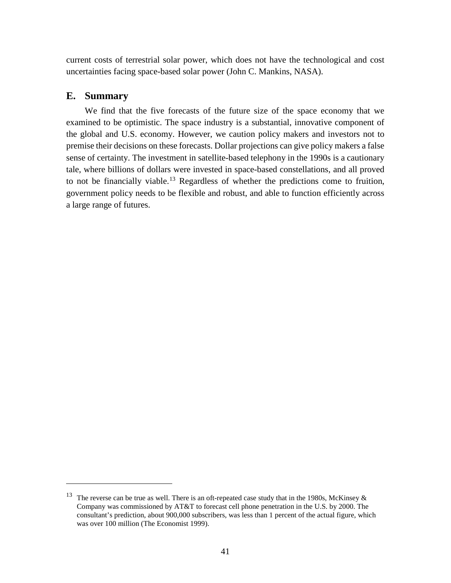current costs of terrestrial solar power, which does not have the technological and cost uncertainties facing space-based solar power (John C. Mankins, NASA).

# <span id="page-52-0"></span>**E. Summary**

 $\overline{a}$ 

We find that the five forecasts of the future size of the space economy that we examined to be optimistic. The space industry is a substantial, innovative component of the global and U.S. economy. However, we caution policy makers and investors not to premise their decisions on these forecasts. Dollar projections can give policy makers a false sense of certainty. The investment in satellite-based telephony in the 1990s is a cautionary tale, where billions of dollars were invested in space-based constellations, and all proved to not be financially viable. [13](#page-52-1) Regardless of whether the predictions come to fruition, government policy needs to be flexible and robust, and able to function efficiently across a large range of futures.

<span id="page-52-1"></span><sup>&</sup>lt;sup>13</sup> The reverse can be true as well. There is an oft-repeated case study that in the 1980s, McKinsey  $\&$ Company was commissioned by AT&T to forecast cell phone penetration in the U.S. by 2000. The consultant's prediction, about 900,000 subscribers, was less than 1 percent of the actual figure, which was over 100 million (The Economist 1999).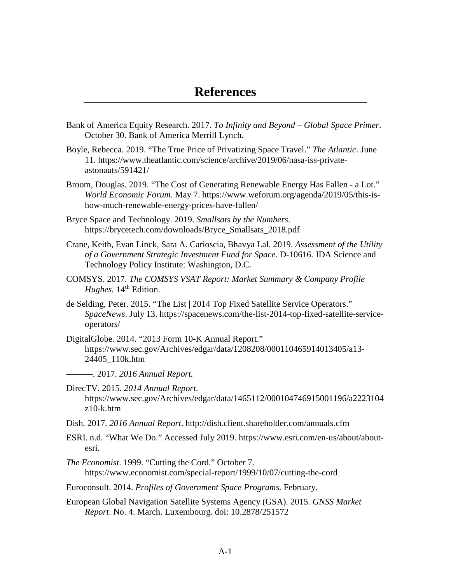- <span id="page-54-0"></span>Bank of America Equity Research. 2017. *To Infinity and Beyond – Global Space Primer*. October 30. Bank of America Merrill Lynch.
- Boyle, Rebecca. 2019. "The True Price of Privatizing Space Travel." *The Atlantic*. June 11. [https://www.theatlantic.com/science/archive/2019/06/nasa-iss-private](https://www.theatlantic.com/science/archive/2019/06/nasa-iss-private-astonauts/591421/)[astonauts/591421/](https://www.theatlantic.com/science/archive/2019/06/nasa-iss-private-astonauts/591421/)
- Broom, Douglas. 2019. "The Cost of Generating Renewable Energy Has Fallen a Lot." *World Economic Forum*. May 7. https://www.weforum.org/agenda/2019/05/this-ishow-much-renewable-energy-prices-have-fallen/
- Bryce Space and Technology. 2019. *Smallsats by the Numbers*. [https://brycetech.com/downloads/Bryce\\_Smallsats\\_2018.pdf](https://brycetech.com/downloads/Bryce_Smallsats_2018.pdf)
- Crane, Keith, Evan Linck, Sara A. Carioscia, Bhavya Lal. 2019. *Assessment of the Utility of a Government Strategic Investment Fund for Space*. D-10616. IDA Science and Technology Policy Institute: Washington, D.C.
- COMSYS. 2017. *The COMSYS VSAT Report: Market Summary & Company Profile Hughes.* 14<sup>th</sup> Edition.
- de Selding, Peter. 2015. "The List | 2014 Top Fixed Satellite Service Operators." *SpaceNews*. July 13. https://spacenews.com/the-list-2014-top-fixed-satellite-serviceoperators/
- DigitalGlobe. 2014. "2013 Form 10-K Annual Report." [https://www.sec.gov/Archives/edgar/data/1208208/000110465914013405/a13-](https://www.sec.gov/Archives/edgar/data/1208208/000110465914013405/a13-24405_110k.htm) [24405\\_110k.htm](https://www.sec.gov/Archives/edgar/data/1208208/000110465914013405/a13-24405_110k.htm)

———. 2017. *2016 Annual Report.* 

- DirecTV. 2015. *2014 Annual Report*. https://www.sec.gov/Archives/edgar/data/1465112/000104746915001196/a2223104 z10-k.htm
- Dish. 2017. *2016 Annual Report*.<http://dish.client.shareholder.com/annuals.cfm>
- ESRI. n.d. "What We Do." Accessed July 2019. [https://www.esri.com/en-us/about/about](https://www.esri.com/en-us/about/about-esri)[esri.](https://www.esri.com/en-us/about/about-esri)
- *The Economist*. 1999. "Cutting the Cord." October 7. <https://www.economist.com/special-report/1999/10/07/cutting-the-cord>
- Euroconsult. 2014. *Profiles of Government Space Programs.* February.
- European Global Navigation Satellite Systems Agency (GSA). 2015. *GNSS Market Report*. No. 4. March. Luxembourg. doi: 10.2878/251572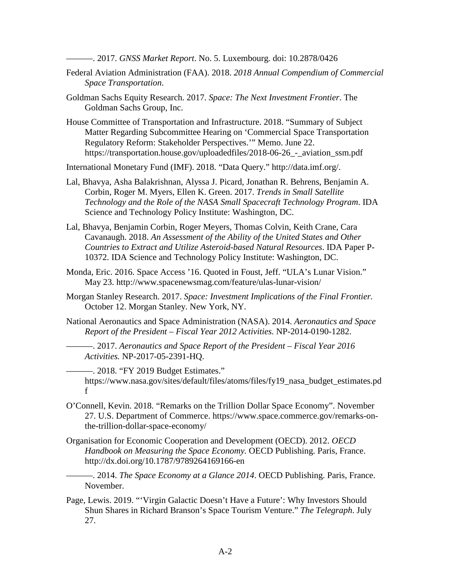———. 2017. *GNSS Market Report*. No. 5. Luxembourg. doi: 10.2878/0426

- Federal Aviation Administration (FAA). 2018. *2018 Annual Compendium of Commercial Space Transportation*.
- Goldman Sachs Equity Research. 2017. *Space: The Next Investment Frontier*. The Goldman Sachs Group, Inc.
- House Committee of Transportation and Infrastructure. 2018. "Summary of Subject Matter Regarding Subcommittee Hearing on 'Commercial Space Transportation Regulatory Reform: Stakeholder Perspectives.'" Memo. June 22. https://transportation.house.gov/uploadedfiles/2018-06-26 - aviation ssm.pdf
- International Monetary Fund (IMF). 2018. "Data Query." http://data.imf.org/.
- Lal, Bhavya, Asha Balakrishnan, Alyssa J. Picard, Jonathan R. Behrens, Benjamin A. Corbin, Roger M. Myers, Ellen K. Green. 2017. *Trends in Small Satellite Technology and the Role of the NASA Small Spacecraft Technology Program*. IDA Science and Technology Policy Institute: Washington, DC.
- Lal, Bhavya, Benjamin Corbin, Roger Meyers, Thomas Colvin, Keith Crane, Cara Cavanaugh. 2018. *An Assessment of the Ability of the United States and Other Countries to Extract and Utilize Asteroid-based Natural Resources*. IDA Paper P-10372. IDA Science and Technology Policy Institute: Washington, DC.
- Monda, Eric. 2016. Space Access '16. Quoted in Foust, Jeff. "ULA's Lunar Vision." May 23.<http://www.spacenewsmag.com/feature/ulas-lunar-vision/>
- Morgan Stanley Research. 2017. *Space: Investment Implications of the Final Frontier.* October 12. Morgan Stanley. New York, NY.
- National Aeronautics and Space Administration (NASA). 2014. *Aeronautics and Space Report of the President – Fiscal Year 2012 Activities.* NP-2014-0190-1282.

———. 2017. *Aeronautics and Space Report of the President – Fiscal Year 2016 Activities.* NP-2017-05-2391-HQ.

———. 2018. "FY 2019 Budget Estimates." https://www.nasa.gov/sites/default/files/atoms/files/fy19\_nasa\_budget\_estimates.pd f

- O'Connell, Kevin. 2018. "Remarks on the Trillion Dollar Space Economy". November 27. U.S. Department of Commerce. [https://www.space.commerce.gov/remarks-on](https://www.space.commerce.gov/remarks-on-the-trillion-dollar-space-economy/)[the-trillion-dollar-space-economy/](https://www.space.commerce.gov/remarks-on-the-trillion-dollar-space-economy/)
- Organisation for Economic Cooperation and Development (OECD). 2012. *OECD Handbook on Measuring the Space Economy.* OECD Publishing. Paris, France. <http://dx.doi.org/10.1787/9789264169166-en>

———. 2014. *The Space Economy at a Glance 2014*. OECD Publishing. Paris, France. November.

Page, Lewis. 2019. "'Virgin Galactic Doesn't Have a Future': Why Investors Should Shun Shares in Richard Branson's Space Tourism Venture." *The Telegraph*. July 27.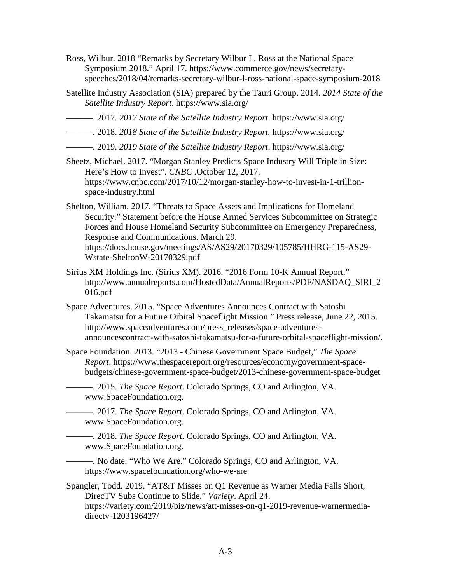- Ross, Wilbur. 2018 "Remarks by Secretary Wilbur L. Ross at the National Space Symposium 2018." April 17. https://www.commerce.gov/news/secretaryspeeches/2018/04/remarks-secretary-wilbur-l-ross-national-space-symposium-2018
- Satellite Industry Association (SIA) prepared by the Tauri Group. 2014. *2014 State of the Satellite Industry Report*. <https://www.sia.org/>
- ———. 2017. *2017 State of the Satellite Industry Report*. <https://www.sia.org/>
- ———. 2018. *2018 State of the Satellite Industry Report.* <https://www.sia.org/>
- ———. 2019. *2019 State of the Satellite Industry Report*. <https://www.sia.org/>

Sheetz, Michael. 2017. "Morgan Stanley Predicts Space Industry Will Triple in Size: Here's How to Invest". *CNBC .*October 12, 2017. [https://www.cnbc.com/2017/10/12/morgan-stanley-how-to-invest-in-1-trillion](https://www.cnbc.com/2017/10/12/morgan-stanley-how-to-invest-in-1-trillion-space-industry.html)[space-industry.html](https://www.cnbc.com/2017/10/12/morgan-stanley-how-to-invest-in-1-trillion-space-industry.html)

Shelton, William. 2017. "Threats to Space Assets and Implications for Homeland Security." Statement before the House Armed Services Subcommittee on Strategic Forces and House Homeland Security Subcommittee on Emergency Preparedness, Response and Communications. March 29. https://docs.house.gov/meetings/AS/AS29/20170329/105785/HHRG-115-AS29-

Wstate-SheltonW-20170329.pdf

- Sirius XM Holdings Inc. (Sirius XM). 2016. "2016 Form 10-K Annual Report." [http://www.annualreports.com/HostedData/AnnualReports/PDF/NASDAQ\\_SIRI\\_2](http://www.annualreports.com/HostedData/AnnualReports/PDF/NASDAQ_SIRI_2016.pdf) [016.pdf](http://www.annualreports.com/HostedData/AnnualReports/PDF/NASDAQ_SIRI_2016.pdf)
- Space Adventures. 2015. "Space Adventures Announces Contract with Satoshi Takamatsu for a Future Orbital Spaceflight Mission." Press release, June 22, 2015. http://www.spaceadventures.com/press\_releases/space-adventuresannouncescontract-with-satoshi-takamatsu-for-a-future-orbital-spaceflight-mission/.
- Space Foundation. 2013. "2013 Chinese Government Space Budget," *The Space Report*. https://www.thespacereport.org/resources/economy/government-spacebudgets/chinese-government-space-budget/2013-chinese-government-space-budget
	- ———. 2015. *The Space Report*. Colorado Springs, CO and Arlington, VA. [www.SpaceFoundation.org.](http://www.spacefoundation.org/)
		- ———. 2017. *The Space Report*. Colorado Springs, CO and Arlington, VA. [www.SpaceFoundation.org.](http://www.spacefoundation.org/)
		- ———. 2018. *The Space Report*. Colorado Springs, CO and Arlington, VA. [www.SpaceFoundation.org.](http://www.spacefoundation.org/)
- ———. No date. "Who We Are." Colorado Springs, CO and Arlington, VA. <https://www.spacefoundation.org/who-we-are>
- Spangler, Todd. 2019. "AT&T Misses on Q1 Revenue as Warner Media Falls Short, DirecTV Subs Continue to Slide." *Variety*. April 24. https://variety.com/2019/biz/news/att-misses-on-q1-2019-revenue-warnermediadirectv-1203196427/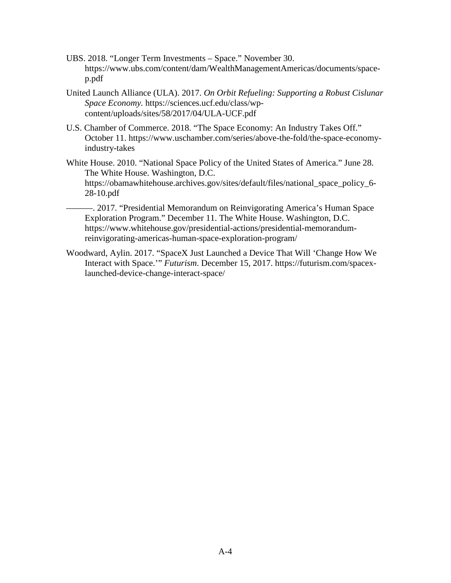- UBS. 2018. "Longer Term Investments Space." November 30. [https://www.ubs.com/content/dam/WealthManagementAmericas/documents/space](https://www.ubs.com/content/dam/WealthManagementAmericas/documents/space-p.pdf)[p.pdf](https://www.ubs.com/content/dam/WealthManagementAmericas/documents/space-p.pdf)
- United Launch Alliance (ULA). 2017. *On Orbit Refueling: Supporting a Robust Cislunar Space Economy.* [https://sciences.ucf.edu/class/wp](https://sciences.ucf.edu/class/wp-content/uploads/sites/58/2017/04/ULA-UCF.pdf)[content/uploads/sites/58/2017/04/ULA-UCF.pdf](https://sciences.ucf.edu/class/wp-content/uploads/sites/58/2017/04/ULA-UCF.pdf)
- U.S. Chamber of Commerce. 2018. "The Space Economy: An Industry Takes Off." October 11. [https://www.uschamber.com/series/above-the-fold/the-space-economy](https://www.uschamber.com/series/above-the-fold/the-space-economy-industry-takes)[industry-takes](https://www.uschamber.com/series/above-the-fold/the-space-economy-industry-takes)
- White House. 2010. "National Space Policy of the United States of America." June 28. The White House. Washington, D.C. https://obamawhitehouse.archives.gov/sites/default/files/national\_space\_policy\_6- 28-10.pdf
- ———. 2017. "Presidential Memorandum on Reinvigorating America's Human Space Exploration Program." December 11. The White House. Washington, D.C. [https://www.whitehouse.gov/presidential-actions/presidential-memorandum](https://www.whitehouse.gov/presidential-actions/presidential-memorandum-reinvigorating-americas-human-space-exploration-program/)[reinvigorating-americas-human-space-exploration-program/](https://www.whitehouse.gov/presidential-actions/presidential-memorandum-reinvigorating-americas-human-space-exploration-program/)
- Woodward, Aylin. 2017. "SpaceX Just Launched a Device That Will 'Change How We Interact with Space.'" *Futurism*. December 15, 2017. [https://futurism.com/spacex](https://futurism.com/spacex-launched-device-change-interact-space/)[launched-device-change-interact-space/](https://futurism.com/spacex-launched-device-change-interact-space/)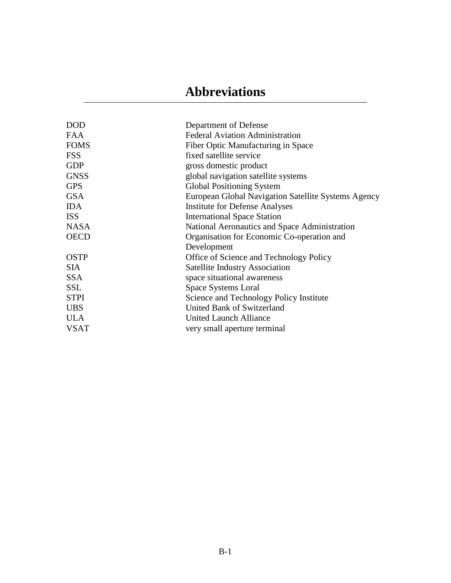# **Abbreviations**

<span id="page-58-0"></span>

| <b>DOD</b>  | Department of Defense                               |
|-------------|-----------------------------------------------------|
| FAA         | <b>Federal Aviation Administration</b>              |
| <b>FOMS</b> | Fiber Optic Manufacturing in Space                  |
| <b>FSS</b>  | fixed satellite service                             |
| <b>GDP</b>  | gross domestic product                              |
| <b>GNSS</b> | global navigation satellite systems                 |
| <b>GPS</b>  | <b>Global Positioning System</b>                    |
|             |                                                     |
| <b>GSA</b>  | European Global Navigation Satellite Systems Agency |
| <b>IDA</b>  | <b>Institute for Defense Analyses</b>               |
| <b>ISS</b>  | <b>International Space Station</b>                  |
| <b>NASA</b> | National Aeronautics and Space Administration       |
| <b>OECD</b> | Organisation for Economic Co-operation and          |
|             | Development                                         |
| <b>OSTP</b> | Office of Science and Technology Policy             |
| <b>SIA</b>  | <b>Satellite Industry Association</b>               |
| <b>SSA</b>  | space situational awareness                         |
| <b>SSL</b>  | Space Systems Loral                                 |
| <b>STPI</b> | Science and Technology Policy Institute             |
| <b>UBS</b>  | <b>United Bank of Switzerland</b>                   |
| <b>ULA</b>  | United Launch Alliance                              |
| <b>VSAT</b> | very small aperture terminal                        |
|             |                                                     |